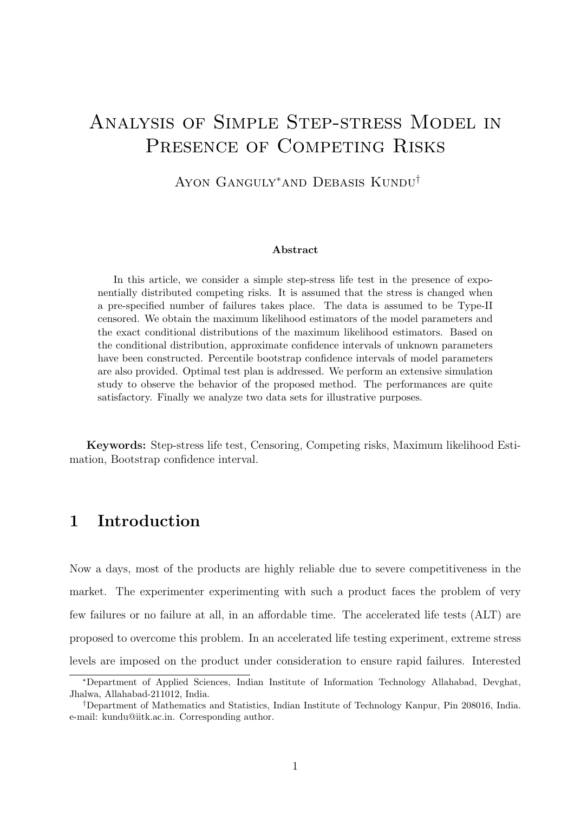# Analysis of Simple Step-stress Model in PRESENCE OF COMPETING RISKS

Ayon Ganguly∗and Debasis Kundu†

#### Abstract

In this article, we consider a simple step-stress life test in the presence of exponentially distributed competing risks. It is assumed that the stress is changed when a pre-specified number of failures takes place. The data is assumed to be Type-II censored. We obtain the maximum likelihood estimators of the model parameters and the exact conditional distributions of the maximum likelihood estimators. Based on the conditional distribution, approximate confidence intervals of unknown parameters have been constructed. Percentile bootstrap confidence intervals of model parameters are also provided. Optimal test plan is addressed. We perform an extensive simulation study to observe the behavior of the proposed method. The performances are quite satisfactory. Finally we analyze two data sets for illustrative purposes.

Keywords: Step-stress life test, Censoring, Competing risks, Maximum likelihood Estimation, Bootstrap confidence interval.

# 1 Introduction

Now a days, most of the products are highly reliable due to severe competitiveness in the market. The experimenter experimenting with such a product faces the problem of very few failures or no failure at all, in an affordable time. The accelerated life tests (ALT) are proposed to overcome this problem. In an accelerated life testing experiment, extreme stress levels are imposed on the product under consideration to ensure rapid failures. Interested

<sup>∗</sup>Department of Applied Sciences, Indian Institute of Information Technology Allahabad, Devghat, Jhalwa, Allahabad-211012, India.

<sup>†</sup>Department of Mathematics and Statistics, Indian Institute of Technology Kanpur, Pin 208016, India. e-mail: kundu@iitk.ac.in. Corresponding author.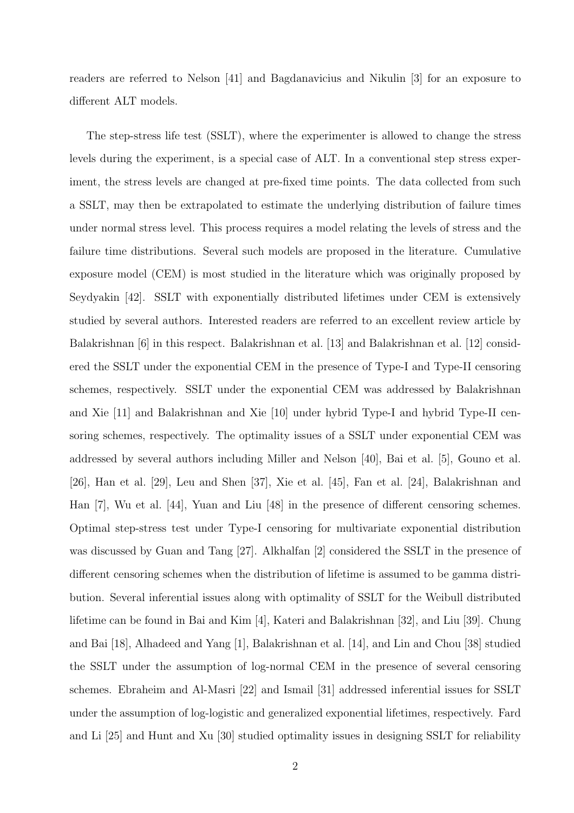readers are referred to Nelson [41] and Bagdanavicius and Nikulin [3] for an exposure to different ALT models.

The step-stress life test (SSLT), where the experimenter is allowed to change the stress levels during the experiment, is a special case of ALT. In a conventional step stress experiment, the stress levels are changed at pre-fixed time points. The data collected from such a SSLT, may then be extrapolated to estimate the underlying distribution of failure times under normal stress level. This process requires a model relating the levels of stress and the failure time distributions. Several such models are proposed in the literature. Cumulative exposure model (CEM) is most studied in the literature which was originally proposed by Seydyakin [42]. SSLT with exponentially distributed lifetimes under CEM is extensively studied by several authors. Interested readers are referred to an excellent review article by Balakrishnan [6] in this respect. Balakrishnan et al. [13] and Balakrishnan et al. [12] considered the SSLT under the exponential CEM in the presence of Type-I and Type-II censoring schemes, respectively. SSLT under the exponential CEM was addressed by Balakrishnan and Xie [11] and Balakrishnan and Xie [10] under hybrid Type-I and hybrid Type-II censoring schemes, respectively. The optimality issues of a SSLT under exponential CEM was addressed by several authors including Miller and Nelson [40], Bai et al. [5], Gouno et al. [26], Han et al. [29], Leu and Shen [37], Xie et al. [45], Fan et al. [24], Balakrishnan and Han [7], Wu et al. [44], Yuan and Liu [48] in the presence of different censoring schemes. Optimal step-stress test under Type-I censoring for multivariate exponential distribution was discussed by Guan and Tang [27]. Alkhalfan [2] considered the SSLT in the presence of different censoring schemes when the distribution of lifetime is assumed to be gamma distribution. Several inferential issues along with optimality of SSLT for the Weibull distributed lifetime can be found in Bai and Kim [4], Kateri and Balakrishnan [32], and Liu [39]. Chung and Bai [18], Alhadeed and Yang [1], Balakrishnan et al. [14], and Lin and Chou [38] studied the SSLT under the assumption of log-normal CEM in the presence of several censoring schemes. Ebraheim and Al-Masri [22] and Ismail [31] addressed inferential issues for SSLT under the assumption of log-logistic and generalized exponential lifetimes, respectively. Fard and Li [25] and Hunt and Xu [30] studied optimality issues in designing SSLT for reliability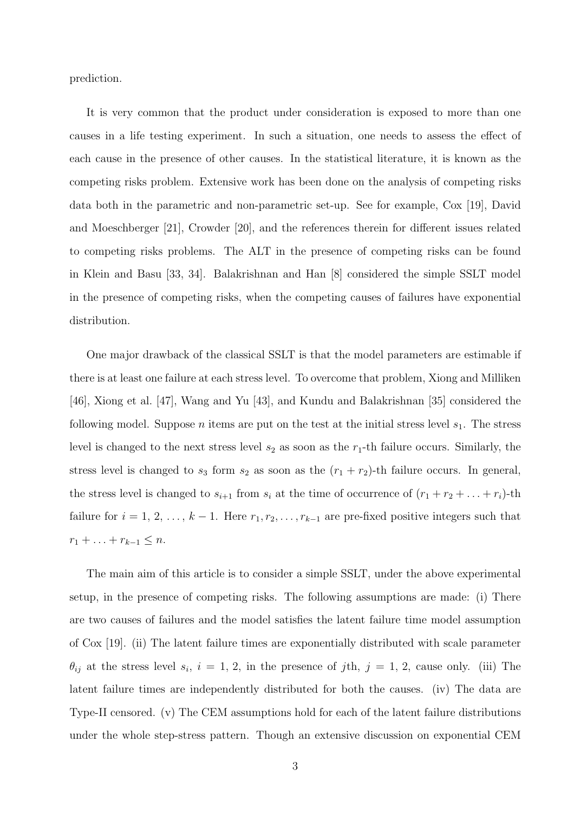prediction.

It is very common that the product under consideration is exposed to more than one causes in a life testing experiment. In such a situation, one needs to assess the effect of each cause in the presence of other causes. In the statistical literature, it is known as the competing risks problem. Extensive work has been done on the analysis of competing risks data both in the parametric and non-parametric set-up. See for example, Cox [19], David and Moeschberger [21], Crowder [20], and the references therein for different issues related to competing risks problems. The ALT in the presence of competing risks can be found in Klein and Basu [33, 34]. Balakrishnan and Han [8] considered the simple SSLT model in the presence of competing risks, when the competing causes of failures have exponential distribution.

One major drawback of the classical SSLT is that the model parameters are estimable if there is at least one failure at each stress level. To overcome that problem, Xiong and Milliken [46], Xiong et al. [47], Wang and Yu [43], and Kundu and Balakrishnan [35] considered the following model. Suppose *n* items are put on the test at the initial stress level  $s_1$ . The stress level is changed to the next stress level  $s_2$  as soon as the  $r_1$ -th failure occurs. Similarly, the stress level is changed to  $s_3$  form  $s_2$  as soon as the  $(r_1 + r_2)$ -th failure occurs. In general, the stress level is changed to  $s_{i+1}$  from  $s_i$  at the time of occurrence of  $(r_1 + r_2 + \ldots + r_i)$ -th failure for  $i = 1, 2, \ldots, k - 1$ . Here  $r_1, r_2, \ldots, r_{k-1}$  are pre-fixed positive integers such that  $r_1 + \ldots + r_{k-1} \leq n.$ 

The main aim of this article is to consider a simple SSLT, under the above experimental setup, in the presence of competing risks. The following assumptions are made: (i) There are two causes of failures and the model satisfies the latent failure time model assumption of Cox [19]. (ii) The latent failure times are exponentially distributed with scale parameter  $\theta_{ij}$  at the stress level  $s_i$ ,  $i = 1, 2$ , in the presence of jth,  $j = 1, 2$ , cause only. (iii) The latent failure times are independently distributed for both the causes. (iv) The data are Type-II censored. (v) The CEM assumptions hold for each of the latent failure distributions under the whole step-stress pattern. Though an extensive discussion on exponential CEM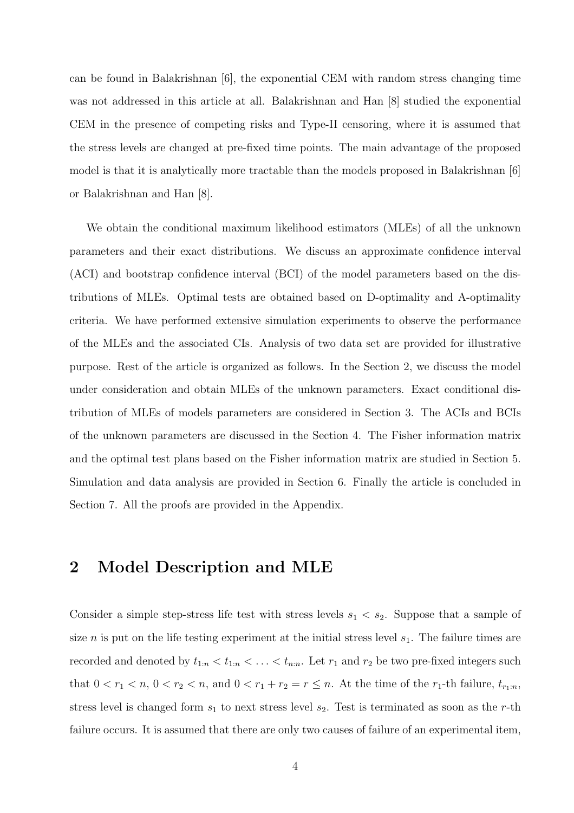can be found in Balakrishnan [6], the exponential CEM with random stress changing time was not addressed in this article at all. Balakrishnan and Han [8] studied the exponential CEM in the presence of competing risks and Type-II censoring, where it is assumed that the stress levels are changed at pre-fixed time points. The main advantage of the proposed model is that it is analytically more tractable than the models proposed in Balakrishnan [6] or Balakrishnan and Han [8].

We obtain the conditional maximum likelihood estimators (MLEs) of all the unknown parameters and their exact distributions. We discuss an approximate confidence interval (ACI) and bootstrap confidence interval (BCI) of the model parameters based on the distributions of MLEs. Optimal tests are obtained based on D-optimality and A-optimality criteria. We have performed extensive simulation experiments to observe the performance of the MLEs and the associated CIs. Analysis of two data set are provided for illustrative purpose. Rest of the article is organized as follows. In the Section 2, we discuss the model under consideration and obtain MLEs of the unknown parameters. Exact conditional distribution of MLEs of models parameters are considered in Section 3. The ACIs and BCIs of the unknown parameters are discussed in the Section 4. The Fisher information matrix and the optimal test plans based on the Fisher information matrix are studied in Section 5. Simulation and data analysis are provided in Section 6. Finally the article is concluded in Section 7. All the proofs are provided in the Appendix.

### 2 Model Description and MLE

Consider a simple step-stress life test with stress levels  $s_1 < s_2$ . Suppose that a sample of size *n* is put on the life testing experiment at the initial stress level  $s<sub>1</sub>$ . The failure times are recorded and denoted by  $t_{1:n} < t_{1:n} < \ldots < t_{n:n}$ . Let  $r_1$  and  $r_2$  be two pre-fixed integers such that  $0 < r_1 < n$ ,  $0 < r_2 < n$ , and  $0 < r_1 + r_2 = r \le n$ . At the time of the  $r_1$ -th failure,  $t_{r_1:n}$ , stress level is changed form  $s_1$  to next stress level  $s_2$ . Test is terminated as soon as the r-th failure occurs. It is assumed that there are only two causes of failure of an experimental item,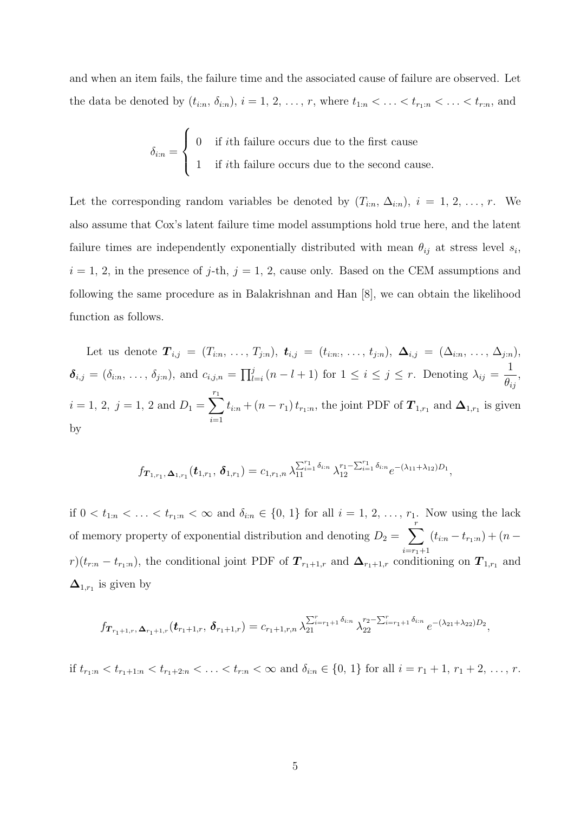and when an item fails, the failure time and the associated cause of failure are observed. Let the data be denoted by  $(t_{i:n}, \delta_{i:n}), i = 1, 2, \ldots, r$ , where  $t_{1:n} < \ldots < t_{r_1:n} < \ldots < t_{r:n}$ , and

$$
\delta_{i:n} = \begin{cases} 0 & \text{if } i \text{th failure occurs due to the first cause} \\ 1 & \text{if } i \text{th failure occurs due to the second cause.} \end{cases}
$$

Let the corresponding random variables be denoted by  $(T_{i:n}, \Delta_{i:n}), i = 1, 2, ..., r$ . We also assume that Cox's latent failure time model assumptions hold true here, and the latent failure times are independently exponentially distributed with mean  $\theta_{ij}$  at stress level  $s_i$ ,  $i = 1, 2$ , in the presence of j-th,  $j = 1, 2$ , cause only. Based on the CEM assumptions and following the same procedure as in Balakrishnan and Han [8], we can obtain the likelihood function as follows.

Let us denote  $\mathbf{T}_{i,j} = (T_{i:n}, \ldots, T_{j:n}),$   $\mathbf{t}_{i,j} = (t_{i:n}, \ldots, t_{j:n}),$   $\Delta_{i,j} = (\Delta_{i:n}, \ldots, \Delta_{j:n}),$  $\boldsymbol{\delta}_{i,j} = (\delta_{i:n}, \ldots, \delta_{j:n}),$  and  $c_{i,j,n} = \prod_{l=i}^j (n-l+1)$  for  $1 \leq i \leq j \leq r$ . Denoting  $\lambda_{ij} =$ 1  $\theta_{ij}$ ,  $i = 1, 2, j = 1, 2 \text{ and } D_1 = \sum_{i=1}^{r_1}$  $i=1$  $t_{i:n} + (n - r_1) t_{r_1:n}$ , the joint PDF of  $\boldsymbol{T}_{1,r_1}$  and  $\boldsymbol{\Delta}_{1,r_1}$  is given by

$$
f_{\boldsymbol{T}_{1,r_1},\boldsymbol{\Delta}_{1,r_1}}(\boldsymbol{t}_{1,r_1},\boldsymbol{\delta}_{1,r_1})=c_{1,r_1,n}\,\lambda_{11}^{\sum_{i=1}^{r_1}\delta_{i:n}}\,\lambda_{12}^{r_1-\sum_{i=1}^{r_1}\delta_{i:n}}e^{-(\lambda_{11}+\lambda_{12})D_1},
$$

if  $0 < t_{1:n} < \ldots < t_{r_1:n} < \infty$  and  $\delta_{i:n} \in \{0, 1\}$  for all  $i = 1, 2, \ldots, r_1$ . Now using the lack of memory property of exponential distribution and denoting  $D_2 = \sum_{r=1}^{r}$  $i=r_1+1$  $(t_{i:n} - t_{r_1:n}) + (n$  $r(t_{r:n}-t_{r_1:n})$ , the conditional joint PDF of  $T_{r_1+1,r}$  and  $\Delta_{r_1+1,r}$  conditioning on  $T_{1,r_1}$  and  $\Delta_{1,r_1}$  is given by

$$
f_{\boldsymbol{T}_{r_1+1,r},\boldsymbol{\Delta}_{r_1+1,r}}(\boldsymbol{t}_{r_1+1,r},\boldsymbol{\delta}_{r_1+1,r})=c_{r_1+1,r,n}\lambda_{21}^{\sum_{i=r_1+1}^r\delta_{i,r}}\lambda_{22}^{r_2-\sum_{i=r_1+1}^r\delta_{i,r}}e^{-(\lambda_{21}+\lambda_{22})D_2},
$$

if  $t_{r_1:n} < t_{r_1+1:n} < t_{r_1+2:n} < \ldots < t_{r:n} < \infty$  and  $\delta_{i:n} \in \{0, 1\}$  for all  $i = r_1 + 1, r_1 + 2, \ldots, r$ .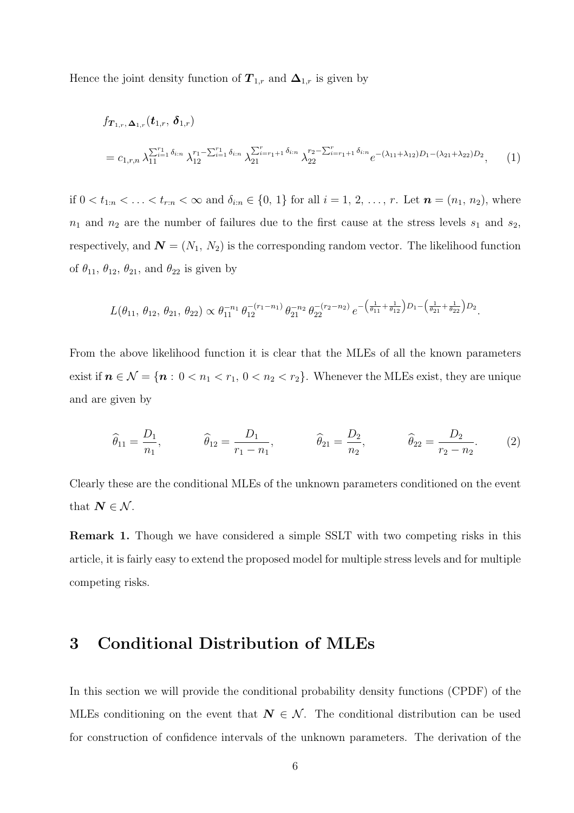Hence the joint density function of  $T_{1,r}$  and  $\Delta_{1,r}$  is given by

$$
f_{\mathbf{T}_{1,r},\Delta_{1,r}}(\mathbf{t}_{1,r},\delta_{1,r})
$$
  
=  $c_{1,r,n} \lambda_{11}^{\sum_{i=1}^{r_1} \delta_{i:n}} \lambda_{12}^{r_1 - \sum_{i=1}^{r_1} \delta_{i:n}} \lambda_{21}^{\sum_{i=r_1+1}^{r_1} \delta_{i:n}} \lambda_{22}^{r_2 - \sum_{i=r_1+1}^{r_1} \delta_{i:n}} e^{-(\lambda_{11} + \lambda_{12})D_1 - (\lambda_{21} + \lambda_{22})D_2},$  (1)

if  $0 < t_{1:n} < \ldots < t_{r:n} < \infty$  and  $\delta_{i:n} \in \{0, 1\}$  for all  $i = 1, 2, \ldots, r$ . Let  $n = (n_1, n_2)$ , where  $n_1$  and  $n_2$  are the number of failures due to the first cause at the stress levels  $s_1$  and  $s_2$ , respectively, and  $\mathbf{N} = (N_1, N_2)$  is the corresponding random vector. The likelihood function of  $\theta_{11}$ ,  $\theta_{12}$ ,  $\theta_{21}$ , and  $\theta_{22}$  is given by

$$
L(\theta_{11}, \theta_{12}, \theta_{21}, \theta_{22}) \propto \theta_{11}^{-n_1} \theta_{12}^{-(r_1 - n_1)} \theta_{21}^{-n_2} \theta_{22}^{-(r_2 - n_2)} e^{-\left(\frac{1}{\theta_{11}} + \frac{1}{\theta_{12}}\right)D_1 - \left(\frac{1}{\theta_{21}} + \frac{1}{\theta_{22}}\right)D_2}.
$$

From the above likelihood function it is clear that the MLEs of all the known parameters exist if  $n \in \mathcal{N} = \{n : 0 < n_1 < r_1, 0 < n_2 < r_2\}$ . Whenever the MLEs exist, they are unique and are given by

$$
\widehat{\theta}_{11} = \frac{D_1}{n_1}, \qquad \widehat{\theta}_{12} = \frac{D_1}{r_1 - n_1}, \qquad \widehat{\theta}_{21} = \frac{D_2}{n_2}, \qquad \widehat{\theta}_{22} = \frac{D_2}{r_2 - n_2}.
$$
 (2)

Clearly these are the conditional MLEs of the unknown parameters conditioned on the event that  $N \in \mathcal{N}$ .

Remark 1. Though we have considered a simple SSLT with two competing risks in this article, it is fairly easy to extend the proposed model for multiple stress levels and for multiple competing risks.

## 3 Conditional Distribution of MLEs

In this section we will provide the conditional probability density functions (CPDF) of the MLEs conditioning on the event that  $N \in \mathcal{N}$ . The conditional distribution can be used for construction of confidence intervals of the unknown parameters. The derivation of the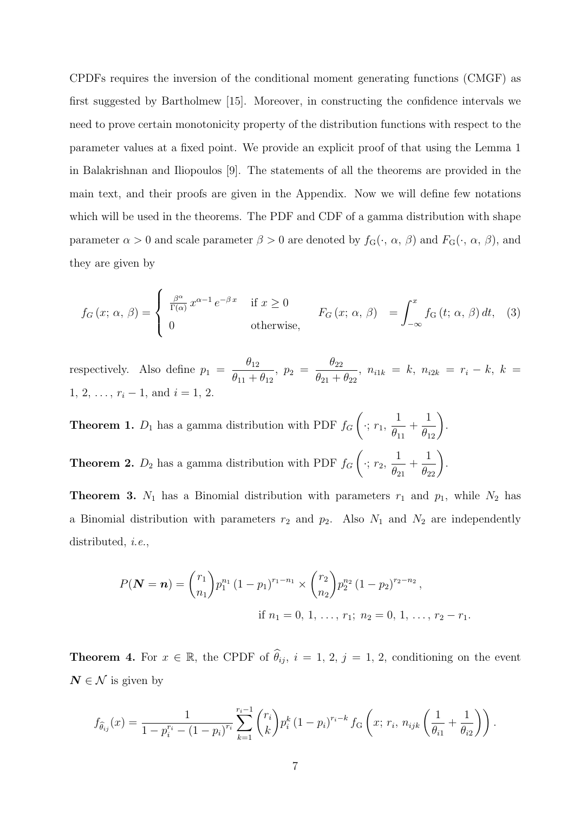CPDFs requires the inversion of the conditional moment generating functions (CMGF) as first suggested by Bartholmew [15]. Moreover, in constructing the confidence intervals we need to prove certain monotonicity property of the distribution functions with respect to the parameter values at a fixed point. We provide an explicit proof of that using the Lemma 1 in Balakrishnan and Iliopoulos [9]. The statements of all the theorems are provided in the main text, and their proofs are given in the Appendix. Now we will define few notations which will be used in the theorems. The PDF and CDF of a gamma distribution with shape parameter  $\alpha > 0$  and scale parameter  $\beta > 0$  are denoted by  $f_G(\cdot, \alpha, \beta)$  and  $F_G(\cdot, \alpha, \beta)$ , and they are given by

$$
f_G(x; \alpha, \beta) = \begin{cases} \frac{\beta^{\alpha}}{\Gamma(\alpha)} x^{\alpha - 1} e^{-\beta x} & \text{if } x \ge 0\\ 0 & \text{otherwise}, \end{cases} \qquad F_G(x; \alpha, \beta) = \int_{-\infty}^x f_G(t; \alpha, \beta) dt, \quad (3)
$$

respectively. Also define  $p_1 =$  $\theta_{12}$  $\theta_{11} + \theta_{12}$ ,  $p_2 =$  $\theta_{22}$  $\frac{\partial^2 Z_2}{\partial q_{21} + \theta_{22}}, n_{i1k} = k, n_{i2k} = r_i - k, k =$ 1, 2,  $\ldots$ ,  $r_i - 1$ , and  $i = 1, 2$ .

**Theorem 1.**  $D_1$  has a gamma distribution with PDF  $f_G$  $\sqrt{ }$  $\cdot; r_1$ 1  $\theta_{11}$  $+$  $\frac{1}{\theta_{12}}$ . **Theorem 2.**  $D_2$  has a gamma distribution with PDF  $f_G$  $\sqrt{ }$  $\cdot; r_2,$ 1  $\theta_{21}$  $+$  $\frac{1}{\theta_{22}}\bigg)$ .

**Theorem 3.**  $N_1$  has a Binomial distribution with parameters  $r_1$  and  $p_1$ , while  $N_2$  has a Binomial distribution with parameters  $r_2$  and  $p_2$ . Also  $N_1$  and  $N_2$  are independently distributed, *i.e.*,

$$
P(\mathbf{N} = \mathbf{n}) = {r_1 \choose n_1} p_1^{n_1} (1 - p_1)^{r_1 - n_1} \times {r_2 \choose n_2} p_2^{n_2} (1 - p_2)^{r_2 - n_2},
$$
  
if  $n_1 = 0, 1, ..., r_1; n_2 = 0, 1, ..., r_2 - r_1.$ 

**Theorem 4.** For  $x \in \mathbb{R}$ , the CPDF of  $\hat{\theta}_{ij}$ ,  $i = 1, 2, j = 1, 2$ , conditioning on the event  $N \in \mathcal{N}$  is given by

$$
f_{\hat{\theta}_{ij}}(x) = \frac{1}{1 - p_i^{r_i} - (1 - p_i)^{r_i}} \sum_{k=1}^{r_i - 1} {r_i \choose k} p_i^k (1 - p_i)^{r_i - k} f_{\mathcal{G}}\left(x; r_i, n_{ijk} \left(\frac{1}{\theta_{i1}} + \frac{1}{\theta_{i2}}\right)\right).
$$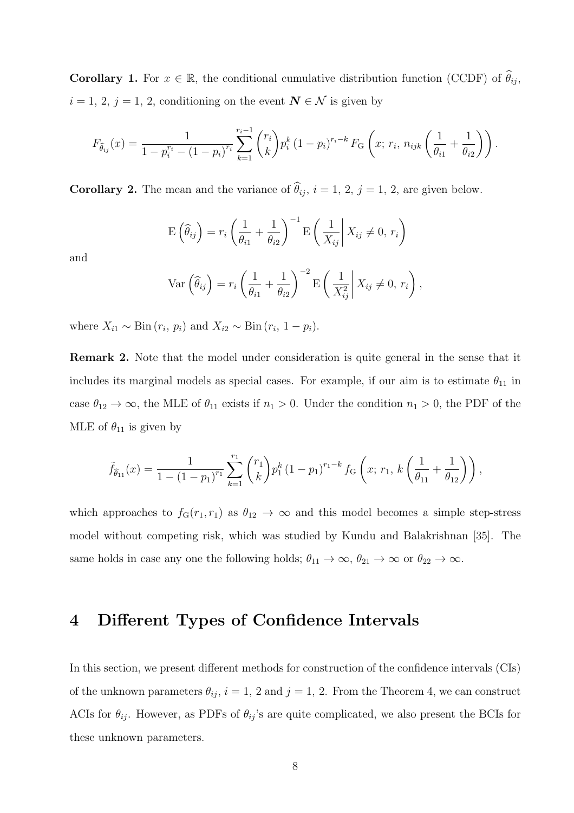**Corollary 1.** For  $x \in \mathbb{R}$ , the conditional cumulative distribution function (CCDF) of  $\hat{\theta}_{ij}$ ,  $i = 1, 2, j = 1, 2$ , conditioning on the event  $N \in \mathcal{N}$  is given by

$$
F_{\hat{\theta}_{ij}}(x) = \frac{1}{1 - p_i^{r_i} - (1 - p_i)^{r_i}} \sum_{k=1}^{r_i - 1} {r_i \choose k} p_i^k (1 - p_i)^{r_i - k} F_G \left(x; r_i, n_{ijk} \left(\frac{1}{\theta_{i1}} + \frac{1}{\theta_{i2}}\right)\right).
$$

**Corollary 2.** The mean and the variance of  $\hat{\theta}_{ij}$ ,  $i = 1, 2, j = 1, 2$ , are given below.

$$
E\left(\widehat{\theta}_{ij}\right) = r_i \left(\frac{1}{\theta_{i1}} + \frac{1}{\theta_{i2}}\right)^{-1} E\left(\frac{1}{X_{ij}} \middle| X_{ij} \neq 0, r_i\right)
$$

and

$$
\operatorname{Var}\left(\widehat{\theta}_{ij}\right) = r_i \left(\frac{1}{\theta_{i1}} + \frac{1}{\theta_{i2}}\right)^{-2} \operatorname{E}\left(\frac{1}{X_{ij}^2} \middle| X_{ij} \neq 0, r_i\right),
$$

where  $X_{i1} \sim \text{Bin}(r_i, p_i)$  and  $X_{i2} \sim \text{Bin}(r_i, 1 - p_i)$ .

Remark 2. Note that the model under consideration is quite general in the sense that it includes its marginal models as special cases. For example, if our aim is to estimate  $\theta_{11}$  in case  $\theta_{12} \to \infty$ , the MLE of  $\theta_{11}$  exists if  $n_1 > 0$ . Under the condition  $n_1 > 0$ , the PDF of the MLE of  $\theta_{11}$  is given by

$$
\tilde{f}_{\hat{\theta}_{11}}(x) = \frac{1}{1 - (1 - p_1)^{r_1}} \sum_{k=1}^{r_1} {r_1 \choose k} p_1^k (1 - p_1)^{r_1 - k} f_G\left(x; r_1, k\left(\frac{1}{\theta_{11}} + \frac{1}{\theta_{12}}\right)\right),
$$

which approaches to  $f_G(r_1, r_1)$  as  $\theta_{12} \to \infty$  and this model becomes a simple step-stress model without competing risk, which was studied by Kundu and Balakrishnan [35]. The same holds in case any one the following holds;  $\theta_{11} \to \infty$ ,  $\theta_{21} \to \infty$  or  $\theta_{22} \to \infty$ .

### 4 Different Types of Confidence Intervals

In this section, we present different methods for construction of the confidence intervals (CIs) of the unknown parameters  $\theta_{ij}$ ,  $i = 1, 2$  and  $j = 1, 2$ . From the Theorem 4, we can construct ACIs for  $\theta_{ij}$ . However, as PDFs of  $\theta_{ij}$ 's are quite complicated, we also present the BCIs for these unknown parameters.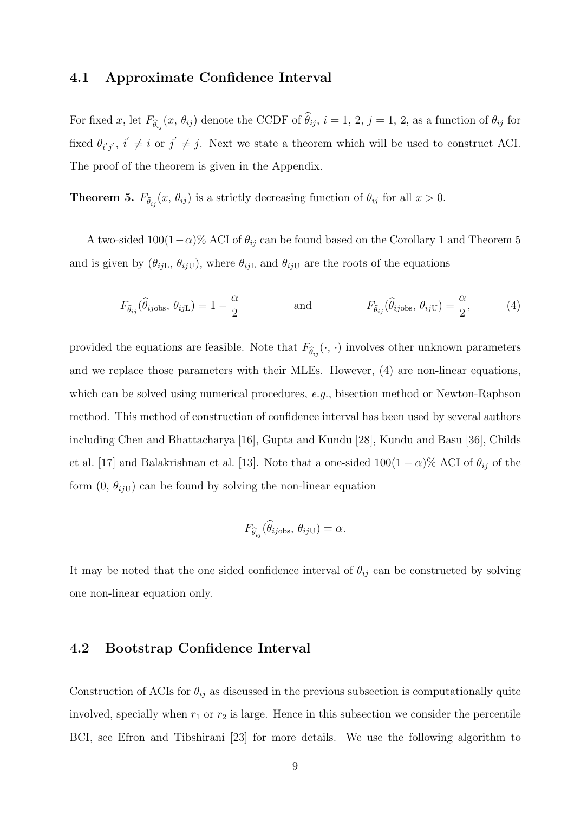#### 4.1 Approximate Confidence Interval

For fixed x, let  $F_{\hat{\theta}_{ij}}(x, \theta_{ij})$  denote the CCDF of  $\theta_{ij}$ ,  $i = 1, 2, j = 1, 2$ , as a function of  $\theta_{ij}$  for fixed  $\theta_{i'j'}$ ,  $i' \neq i$  or  $j' \neq j$ . Next we state a theorem which will be used to construct ACI. The proof of the theorem is given in the Appendix.

**Theorem 5.**  $F_{\hat{\theta}_{ij}}(x, \theta_{ij})$  is a strictly decreasing function of  $\theta_{ij}$  for all  $x > 0$ .

A two-sided  $100(1-\alpha)$ % ACI of  $\theta_{ij}$  can be found based on the Corollary 1 and Theorem 5 and is given by  $(\theta_{ijL}, \theta_{ijU})$ , where  $\theta_{ijL}$  and  $\theta_{ijU}$  are the roots of the equations

$$
F_{\hat{\theta}_{ij}}(\hat{\theta}_{ij\text{obs}}, \theta_{ij\text{L}}) = 1 - \frac{\alpha}{2} \quad \text{and} \quad F_{\hat{\theta}_{ij}}(\hat{\theta}_{ij\text{obs}}, \theta_{ij\text{U}}) = \frac{\alpha}{2}, \quad (4)
$$

provided the equations are feasible. Note that  $F_{\widehat{\theta}_{ij}}(\cdot, \cdot)$  involves other unknown parameters and we replace those parameters with their MLEs. However, (4) are non-linear equations, which can be solved using numerical procedures, *e.g.*, bisection method or Newton-Raphson method. This method of construction of confidence interval has been used by several authors including Chen and Bhattacharya [16], Gupta and Kundu [28], Kundu and Basu [36], Childs et al. [17] and Balakrishnan et al. [13]. Note that a one-sided  $100(1-\alpha)\%$  ACI of  $\theta_{ij}$  of the form  $(0, \theta_{ijU})$  can be found by solving the non-linear equation

$$
F_{\widehat{\theta}_{ij}}(\widehat{\theta}_{ij\text{obs}}, \theta_{ij\text{U}}) = \alpha.
$$

It may be noted that the one sided confidence interval of  $\theta_{ij}$  can be constructed by solving one non-linear equation only.

### 4.2 Bootstrap Confidence Interval

Construction of ACIs for  $\theta_{ij}$  as discussed in the previous subsection is computationally quite involved, specially when  $r_1$  or  $r_2$  is large. Hence in this subsection we consider the percentile BCI, see Efron and Tibshirani [23] for more details. We use the following algorithm to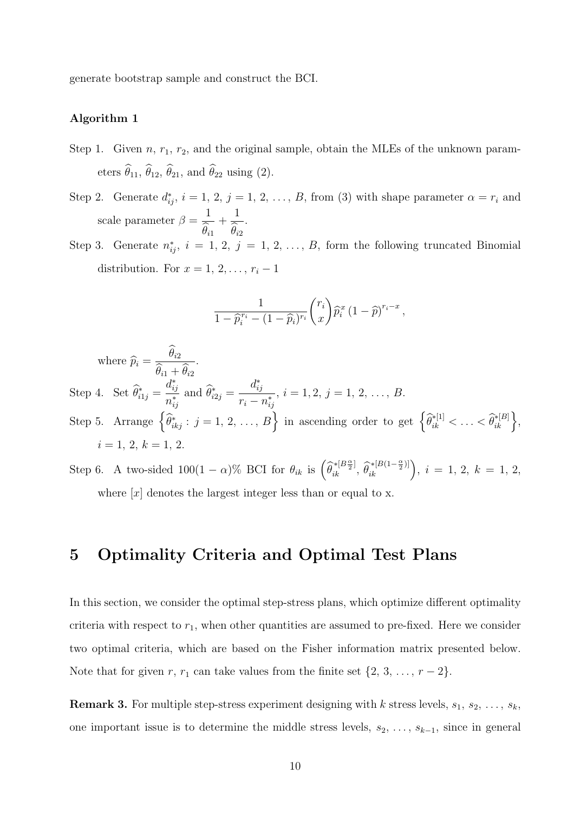generate bootstrap sample and construct the BCI.

#### Algorithm 1

- Step 1. Given  $n, r_1, r_2$ , and the original sample, obtain the MLEs of the unknown parameters  $\widehat{\theta}_{11}$ ,  $\widehat{\theta}_{12}$ ,  $\widehat{\theta}_{21}$ , and  $\widehat{\theta}_{22}$  using (2).
- Step 2. Generate  $d_{ij}^*, i = 1, 2, j = 1, 2, ..., B$ , from (3) with shape parameter  $\alpha = r_i$  and scale parameter  $\beta =$ 1  $\theta_{i1}$  $+$ 1  $\theta_{i2}$ .
- Step 3. Generate  $n_{ij}^*$ ,  $i = 1, 2, j = 1, 2, ..., B$ , form the following truncated Binomial distribution. For  $x = 1, 2, \ldots, r_i - 1$

$$
\frac{1}{1-\widehat{p}_i^{r_i}-(1-\widehat{p}_i)^{r_i}}\binom{r_i}{x}\widehat{p}_i^x(1-\widehat{p})^{r_i-x},
$$

where  $\widehat{p}_i =$  $\theta_{i2}$  $\theta_{i1} + \theta_{i2}$ . Step 4. Set  $\widehat{\theta}_{i1j}^* =$  $d_{ij}^*$  $\frac{a_{ij}}{n_{ij}^*}$  and  $\widehat{\theta}_{i2j}^* =$  $d_{ij}^*$  $r_i - n_{ij}^*$  $, i = 1, 2, j = 1, 2, \ldots, B.$ Step 5. Arrange  $\left\{\widehat{\theta}_{ikj}^* : j = 1, 2, ..., B\right\}$  in ascending order to get  $\left\{\widehat{\theta}_{ik}^{*[1]} < \ldots < \widehat{\theta}_{ik}^{*[B]}\right\}$ ,  $i=1,\,2,\,k=1,\,2.$ 

Step 6. A two-sided  $100(1-\alpha)\%$  BCI for  $\theta_{ik}$  is  $\left(\widehat{\theta}_{ik}^{*[B\frac{\alpha}{2}]}, \widehat{\theta}_{ik}^{*[B(1-\frac{\alpha}{2})]}\right)$ ,  $i=1, 2, k=1, 2,$ where  $[x]$  denotes the largest integer less than or equal to x.

### 5 Optimality Criteria and Optimal Test Plans

In this section, we consider the optimal step-stress plans, which optimize different optimality criteria with respect to  $r_1$ , when other quantities are assumed to pre-fixed. Here we consider two optimal criteria, which are based on the Fisher information matrix presented below. Note that for given r,  $r_1$  can take values from the finite set  $\{2, 3, \ldots, r-2\}$ .

**Remark 3.** For multiple step-stress experiment designing with k stress levels,  $s_1, s_2, \ldots, s_k$ one important issue is to determine the middle stress levels,  $s_2, \ldots, s_{k-1}$ , since in general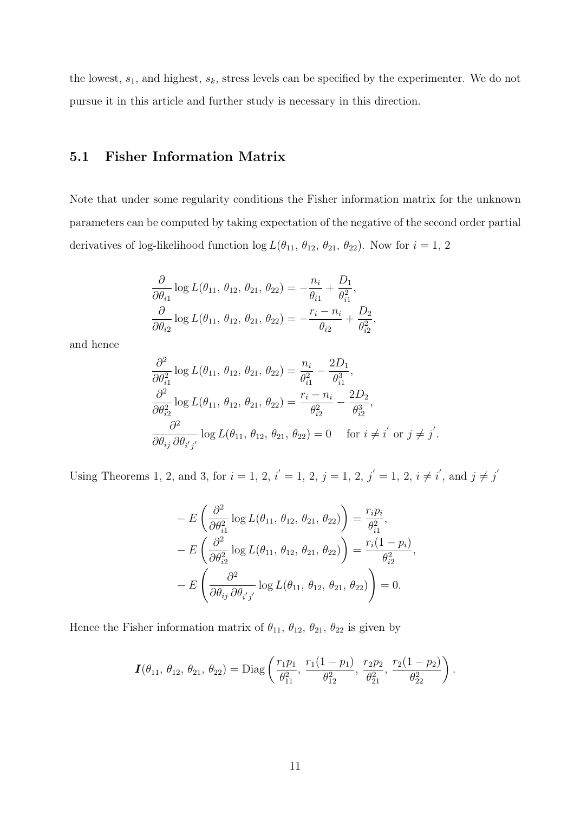the lowest,  $s_1$ , and highest,  $s_k$ , stress levels can be specified by the experimenter. We do not pursue it in this article and further study is necessary in this direction.

### 5.1 Fisher Information Matrix

Note that under some regularity conditions the Fisher information matrix for the unknown parameters can be computed by taking expectation of the negative of the second order partial derivatives of log-likelihood function  $\log L(\theta_{11}, \theta_{12}, \theta_{21}, \theta_{22})$ . Now for  $i = 1, 2$ 

$$
\frac{\partial}{\partial \theta_{i1}} \log L(\theta_{11}, \theta_{12}, \theta_{21}, \theta_{22}) = -\frac{n_i}{\theta_{i1}} + \frac{D_1}{\theta_{i1}^2}, \n\frac{\partial}{\partial \theta_{i2}} \log L(\theta_{11}, \theta_{12}, \theta_{21}, \theta_{22}) = -\frac{r_i - n_i}{\theta_{i2}} + \frac{D_2}{\theta_{i2}^2},
$$

and hence

$$
\frac{\partial^2}{\partial \theta_{i1}^2} \log L(\theta_{11}, \theta_{12}, \theta_{21}, \theta_{22}) = \frac{n_i}{\theta_{i1}^2} - \frac{2D_1}{\theta_{i1}^3}, \n\frac{\partial^2}{\partial \theta_{i2}^2} \log L(\theta_{11}, \theta_{12}, \theta_{21}, \theta_{22}) = \frac{r_i - n_i}{\theta_{i2}^2} - \frac{2D_2}{\theta_{i2}^3}, \n\frac{\partial^2}{\partial \theta_{ij} \partial \theta_{i'j'}} \log L(\theta_{11}, \theta_{12}, \theta_{21}, \theta_{22}) = 0 \quad \text{for } i \neq i' \text{ or } j \neq j'
$$

.

Using Theorems 1, 2, and 3, for  $i = 1, 2, i' = 1, 2, j = 1, 2, j' = 1, 2, i \neq i'$ , and  $j \neq j'$ 

$$
- E\left(\frac{\partial^2}{\partial \theta_{i1}^2} \log L(\theta_{11}, \theta_{12}, \theta_{21}, \theta_{22})\right) = \frac{r_i p_i}{\theta_{i1}^2},
$$
  
\n
$$
- E\left(\frac{\partial^2}{\partial \theta_{i2}^2} \log L(\theta_{11}, \theta_{12}, \theta_{21}, \theta_{22})\right) = \frac{r_i (1 - p_i)}{\theta_{i2}^2},
$$
  
\n
$$
- E\left(\frac{\partial^2}{\partial \theta_{ij} \partial \theta_{i'j'}} \log L(\theta_{11}, \theta_{12}, \theta_{21}, \theta_{22})\right) = 0.
$$

Hence the Fisher information matrix of  $\theta_{11}$ ,  $\theta_{12}$ ,  $\theta_{21}$ ,  $\theta_{22}$  is given by

$$
\boldsymbol{I}(\theta_{11}, \theta_{12}, \theta_{21}, \theta_{22}) = \mathrm{Diag}\left(\frac{r_1p_1}{\theta_{11}^2}, \frac{r_1(1-p_1)}{\theta_{12}^2}, \frac{r_2p_2}{\theta_{21}^2}, \frac{r_2(1-p_2)}{\theta_{22}^2}\right).
$$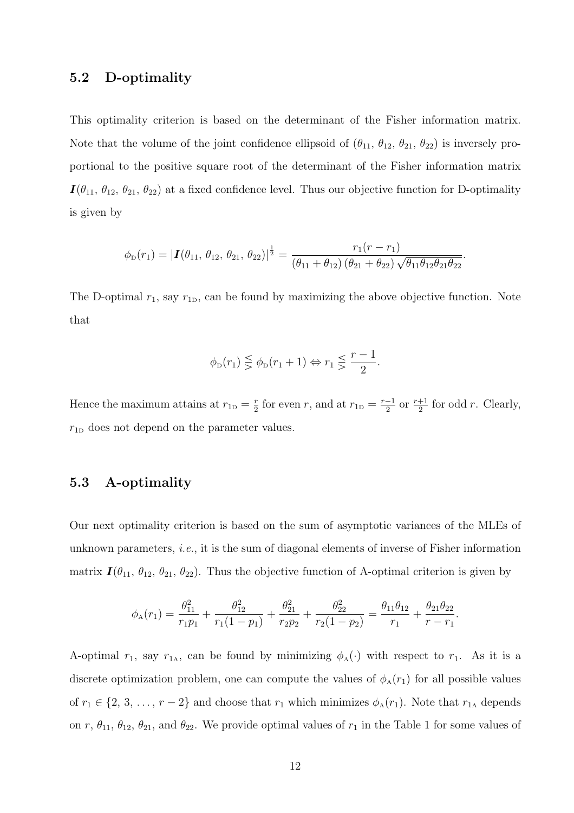#### 5.2 D-optimality

This optimality criterion is based on the determinant of the Fisher information matrix. Note that the volume of the joint confidence ellipsoid of  $(\theta_{11}, \theta_{12}, \theta_{21}, \theta_{22})$  is inversely proportional to the positive square root of the determinant of the Fisher information matrix  $I(\theta_{11}, \theta_{12}, \theta_{21}, \theta_{22})$  at a fixed confidence level. Thus our objective function for D-optimality is given by

$$
\phi_{D}(r_{1})=|\mathbf{I}(\theta_{11},\,\theta_{12},\,\theta_{21},\,\theta_{22})|^{\frac{1}{2}}=\frac{r_{1}(r-r_{1})}{(\theta_{11}+\theta_{12})(\theta_{21}+\theta_{22})\sqrt{\theta_{11}\theta_{12}\theta_{21}\theta_{22}}}
$$

.

The D-optimal  $r_1$ , say  $r_{1D}$ , can be found by maximizing the above objective function. Note that

$$
\phi_{\mathcal{D}}(r_1) \leqq \phi_{\mathcal{D}}(r_1 + 1) \Leftrightarrow r_1 \leqq \frac{r-1}{2}.
$$

Hence the maximum attains at  $r_{1D} = \frac{r}{2}$  $\frac{r}{2}$  for even r, and at  $r_{1D} = \frac{r-1}{2}$  $\frac{-1}{2}$  or  $\frac{r+1}{2}$  for odd r. Clearly,  $r_{1D}$  does not depend on the parameter values.

#### 5.3 A-optimality

Our next optimality criterion is based on the sum of asymptotic variances of the MLEs of unknown parameters, *i.e.*, it is the sum of diagonal elements of inverse of Fisher information matrix  $\mathbf{I}(\theta_{11}, \theta_{12}, \theta_{21}, \theta_{22})$ . Thus the objective function of A-optimal criterion is given by

$$
\phi_{A}(r_{1}) = \frac{\theta_{11}^{2}}{r_{1}p_{1}} + \frac{\theta_{12}^{2}}{r_{1}(1-p_{1})} + \frac{\theta_{21}^{2}}{r_{2}p_{2}} + \frac{\theta_{22}^{2}}{r_{2}(1-p_{2})} = \frac{\theta_{11}\theta_{12}}{r_{1}} + \frac{\theta_{21}\theta_{22}}{r_{1}}.
$$

A-optimal  $r_1$ , say  $r_{1A}$ , can be found by minimizing  $\phi_A(\cdot)$  with respect to  $r_1$ . As it is a discrete optimization problem, one can compute the values of  $\phi_{A}(r_1)$  for all possible values of  $r_1 \in \{2, 3, \ldots, r-2\}$  and choose that  $r_1$  which minimizes  $\phi_A(r_1)$ . Note that  $r_{1A}$  depends on r,  $\theta_{11}$ ,  $\theta_{12}$ ,  $\theta_{21}$ , and  $\theta_{22}$ . We provide optimal values of  $r_1$  in the Table 1 for some values of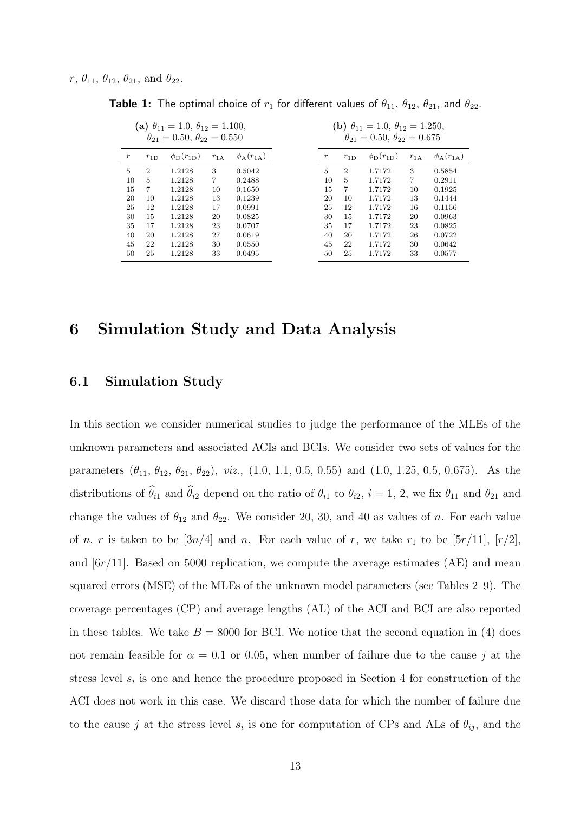|                  |                | (a) $\theta_{11} = 1.0, \ \theta_{12} = 1.100,$<br>$\theta_{21} = 0.50, \ \theta_{22} = 0.550$ |          |                              |                  |                | ( <b>b</b> ) $\theta_{11} = 1.0, \ \theta_{12} = 1.250,$<br>$\theta_{21} = 0.50, \theta_{22} = 0.675$ |          |                              |
|------------------|----------------|------------------------------------------------------------------------------------------------|----------|------------------------------|------------------|----------------|-------------------------------------------------------------------------------------------------------|----------|------------------------------|
| $\boldsymbol{r}$ | $r_{1D}$       | $\phi_{\rm D}(r_{\rm 1D})$                                                                     | $r_{1A}$ | $\phi_{\rm A}(r_{1{\rm A}})$ | $\boldsymbol{r}$ | $r_{1D}$       | $\phi_{\rm D}(r_{\rm 1D})$                                                                            | $r_{1A}$ | $\phi_{\rm A}(r_{1{\rm A}})$ |
| 5                | $\overline{2}$ | 1.2128                                                                                         | 3        | 0.5042                       | 5                | $\overline{2}$ | 1.7172                                                                                                | 3        | 0.5854                       |
| 10               | 5              | 1.2128                                                                                         | 7        | 0.2488                       | 10               | 5              | 1.7172                                                                                                | 7        | 0.2911                       |
| 15               | 7              | 1.2128                                                                                         | 10       | 0.1650                       | 15               | 7              | 1.7172                                                                                                | 10       | 0.1925                       |
| 20               | 10             | 1.2128                                                                                         | 13       | 0.1239                       | 20               | 10             | 1.7172                                                                                                | 13       | 0.1444                       |
| 25               | 12             | 1.2128                                                                                         | 17       | 0.0991                       | 25               | 12             | 1.7172                                                                                                | 16       | 0.1156                       |
| 30               | 15             | 1.2128                                                                                         | 20       | 0.0825                       | 30               | 15             | 1.7172                                                                                                | 20       | 0.0963                       |
| 35               | 17             | 1.2128                                                                                         | 23       | 0.0707                       | 35               | 17             | 1.7172                                                                                                | 23       | 0.0825                       |
| 40               | 20             | 1.2128                                                                                         | 27       | 0.0619                       | 40               | 20             | 1.7172                                                                                                | 26       | 0.0722                       |
| 45               | 22             | 1.2128                                                                                         | 30       | 0.0550                       | 45               | 22             | 1.7172                                                                                                | 30       | 0.0642                       |
| 50               | 25             | 1.2128                                                                                         | 33       | 0.0495                       | 50               | 25             | 1.7172                                                                                                | 33       | 0.0577                       |

**Table 1:** The optimal choice of  $r_1$  for different values of  $\theta_{11}$ ,  $\theta_{12}$ ,  $\theta_{21}$ , and  $\theta_{22}$ .

### 6 Simulation Study and Data Analysis

### 6.1 Simulation Study

In this section we consider numerical studies to judge the performance of the MLEs of the unknown parameters and associated ACIs and BCIs. We consider two sets of values for the parameters  $(\theta_{11}, \theta_{12}, \theta_{21}, \theta_{22})$ , *viz.*,  $(1.0, 1.1, 0.5, 0.55)$  and  $(1.0, 1.25, 0.5, 0.675)$ . As the distributions of  $\hat{\theta}_{i1}$  and  $\hat{\theta}_{i2}$  depend on the ratio of  $\theta_{i1}$  to  $\theta_{i2}$ ,  $i = 1, 2$ , we fix  $\theta_{11}$  and  $\theta_{21}$  and change the values of  $\theta_{12}$  and  $\theta_{22}$ . We consider 20, 30, and 40 as values of n. For each value of n, r is taken to be  $[3n/4]$  and n. For each value of r, we take  $r_1$  to be  $[5r/11]$ ,  $[r/2]$ , and  $[6r/11]$ . Based on 5000 replication, we compute the average estimates (AE) and mean squared errors (MSE) of the MLEs of the unknown model parameters (see Tables 2–9). The coverage percentages (CP) and average lengths (AL) of the ACI and BCI are also reported in these tables. We take  $B = 8000$  for BCI. We notice that the second equation in (4) does not remain feasible for  $\alpha = 0.1$  or 0.05, when number of failure due to the cause j at the stress level  $s_i$  is one and hence the procedure proposed in Section 4 for construction of the ACI does not work in this case. We discard those data for which the number of failure due to the cause j at the stress level  $s_i$  is one for computation of CPs and ALs of  $\theta_{ij}$ , and the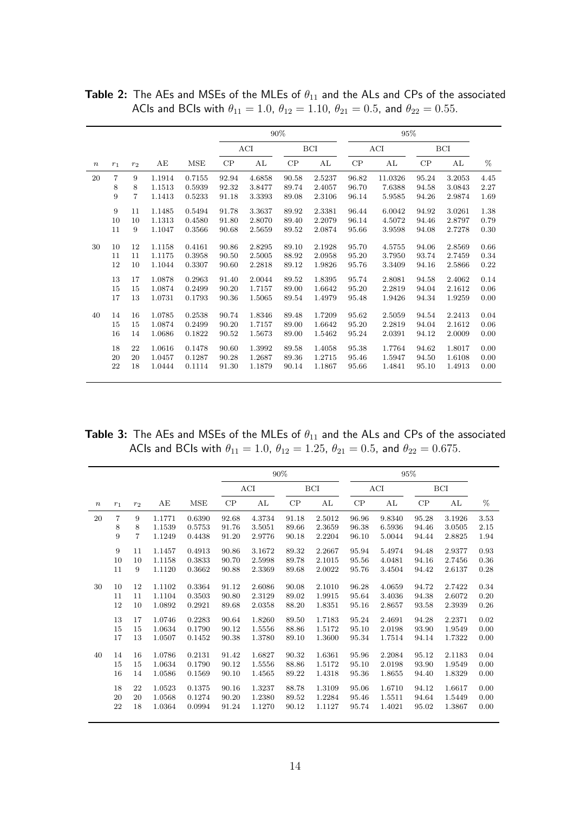|                  |       |                |        |        | 90%   |        |       |            |       | 95%     |       |            |      |
|------------------|-------|----------------|--------|--------|-------|--------|-------|------------|-------|---------|-------|------------|------|
|                  |       |                |        |        |       | ACI    |       | <b>BCI</b> |       | ACI     |       | <b>BCI</b> |      |
| $\boldsymbol{n}$ | $r_1$ | $r_2$          | AE     | MSE    | CP    | AL     | CP    | AL         | CP    | AL      | CP    | AL         | %    |
| 20               | 7     | 9              | 1.1914 | 0.7155 | 92.94 | 4.6858 | 90.58 | 2.5237     | 96.82 | 11.0326 | 95.24 | 3.2053     | 4.45 |
|                  | 8     | 8              | 1.1513 | 0.5939 | 92.32 | 3.8477 | 89.74 | 2.4057     | 96.70 | 7.6388  | 94.58 | 3.0843     | 2.27 |
|                  | 9     | $\overline{7}$ | 1.1413 | 0.5233 | 91.18 | 3.3393 | 89.08 | 2.3106     | 96.14 | 5.9585  | 94.26 | 2.9874     | 1.69 |
|                  | 9     | 11             | 1.1485 | 0.5494 | 91.78 | 3.3637 | 89.92 | 2.3381     | 96.44 | 6.0042  | 94.92 | 3.0261     | 1.38 |
|                  | 10    | 10             | 1.1313 | 0.4580 | 91.80 | 2.8070 | 89.40 | 2.2079     | 96.14 | 4.5072  | 94.46 | 2.8797     | 0.79 |
|                  | 11    | 9              | 1.1047 | 0.3566 | 90.68 | 2.5659 | 89.52 | 2.0874     | 95.66 | 3.9598  | 94.08 | 2.7278     | 0.30 |
| 30               | 10    | 12             | 1.1158 | 0.4161 | 90.86 | 2.8295 | 89.10 | 2.1928     | 95.70 | 4.5755  | 94.06 | 2.8569     | 0.66 |
|                  | 11    | 11             | 1.1175 | 0.3958 | 90.50 | 2.5005 | 88.92 | 2.0958     | 95.20 | 3.7950  | 93.74 | 2.7459     | 0.34 |
|                  | 12    | 10             | 1.1044 | 0.3307 | 90.60 | 2.2818 | 89.12 | 1.9826     | 95.76 | 3.3409  | 94.16 | 2.5866     | 0.22 |
|                  | 13    | 17             | 1.0878 | 0.2963 | 91.40 | 2.0044 | 89.52 | 1.8395     | 95.74 | 2.8081  | 94.58 | 2.4062     | 0.14 |
|                  | 15    | 15             | 1.0874 | 0.2499 | 90.20 | 1.7157 | 89.00 | 1.6642     | 95.20 | 2.2819  | 94.04 | 2.1612     | 0.06 |
|                  | 17    | 13             | 1.0731 | 0.1793 | 90.36 | 1.5065 | 89.54 | 1.4979     | 95.48 | 1.9426  | 94.34 | 1.9259     | 0.00 |
| 40               | 14    | 16             | 1.0785 | 0.2538 | 90.74 | 1.8346 | 89.48 | 1.7209     | 95.62 | 2.5059  | 94.54 | 2.2413     | 0.04 |
|                  | 15    | 15             | 1.0874 | 0.2499 | 90.20 | 1.7157 | 89.00 | 1.6642     | 95.20 | 2.2819  | 94.04 | 2.1612     | 0.06 |
|                  | 16    | 14             | 1.0686 | 0.1822 | 90.52 | 1.5673 | 89.00 | 1.5462     | 95.24 | 2.0391  | 94.12 | 2.0009     | 0.00 |
|                  | 18    | 22             | 1.0616 | 0.1478 | 90.60 | 1.3992 | 89.58 | 1.4058     | 95.38 | 1.7764  | 94.62 | 1.8017     | 0.00 |
|                  | 20    | 20             | 1.0457 | 0.1287 | 90.28 | 1.2687 | 89.36 | 1.2715     | 95.46 | 1.5947  | 94.50 | 1.6108     | 0.00 |
|                  | 22    | 18             | 1.0444 | 0.1114 | 91.30 | 1.1879 | 90.14 | 1.1867     | 95.66 | 1.4841  | 95.10 | 1.4913     | 0.00 |
|                  |       |                |        |        |       |        |       |            |       |         |       |            |      |

Table 2: The AEs and MSEs of the MLEs of  $\theta_{11}$  and the ALs and CPs of the associated ACIs and BCIs with  $\theta_{11} = 1.0$ ,  $\theta_{12} = 1.10$ ,  $\theta_{21} = 0.5$ , and  $\theta_{22} = 0.55$ .

Table 3: The AEs and MSEs of the MLEs of  $\theta_{11}$  and the ALs and CPs of the associated ACIs and BCIs with  $\theta_{11} = 1.0$ ,  $\theta_{12} = 1.25$ ,  $\theta_{21} = 0.5$ , and  $\theta_{22} = 0.675$ .

|       |       |                |        |        | 90%   |        |          |        |          | 95%    |       |            |      |
|-------|-------|----------------|--------|--------|-------|--------|----------|--------|----------|--------|-------|------------|------|
|       |       |                |        |        |       | ACI    |          | BCI    |          | ACI    |       | <b>BCI</b> |      |
| $\,n$ | $r_1$ | $r_2$          | АE     | MSE    | CP    | AL     | $\rm CP$ | AL     | $\rm CP$ | AL     | CP    | AL         | %    |
| 20    | 7     | 9              | 1.1771 | 0.6390 | 92.68 | 4.3734 | 91.18    | 2.5012 | 96.96    | 9.8340 | 95.28 | 3.1926     | 3.53 |
|       | 8     | 8              | 1.1539 | 0.5753 | 91.76 | 3.5051 | 89.66    | 2.3659 | 96.38    | 6.5936 | 94.46 | 3.0505     | 2.15 |
|       | 9     | $\overline{7}$ | 1.1249 | 0.4438 | 91.20 | 2.9776 | 90.18    | 2.2204 | 96.10    | 5.0044 | 94.44 | 2.8825     | 1.94 |
|       | 9     | 11             | 1.1457 | 0.4913 | 90.86 | 3.1672 | 89.32    | 2.2667 | 95.94    | 5.4974 | 94.48 | 2.9377     | 0.93 |
|       | 10    | 10             | 1.1158 | 0.3833 | 90.70 | 2.5998 | 89.78    | 2.1015 | 95.56    | 4.0481 | 94.16 | 2.7456     | 0.36 |
|       | 11    | 9              | 1.1120 | 0.3662 | 90.88 | 2.3369 | 89.68    | 2.0022 | 95.76    | 3.4504 | 94.42 | 2.6137     | 0.28 |
| 30    | 10    | 12             | 1.1102 | 0.3364 | 91.12 | 2.6086 | 90.08    | 2.1010 | 96.28    | 4.0659 | 94.72 | 2.7422     | 0.34 |
|       | 11    | 11             | 1.1104 | 0.3503 | 90.80 | 2.3129 | 89.02    | 1.9915 | 95.64    | 3.4036 | 94.38 | 2.6072     | 0.20 |
|       | 12    | 10             | 1.0892 | 0.2921 | 89.68 | 2.0358 | 88.20    | 1.8351 | 95.16    | 2.8657 | 93.58 | 2.3939     | 0.26 |
|       | 13    | 17             | 1.0746 | 0.2283 | 90.64 | 1.8260 | 89.50    | 1.7183 | 95.24    | 2.4691 | 94.28 | 2.2371     | 0.02 |
|       | 15    | 15             | 1.0634 | 0.1790 | 90.12 | 1.5556 | 88.86    | 1.5172 | 95.10    | 2.0198 | 93.90 | 1.9549     | 0.00 |
|       | 17    | 13             | 1.0507 | 0.1452 | 90.38 | 1.3780 | 89.10    | 1.3600 | 95.34    | 1.7514 | 94.14 | 1.7322     | 0.00 |
| 40    | 14    | 16             | 1.0786 | 0.2131 | 91.42 | 1.6827 | 90.32    | 1.6361 | 95.96    | 2.2084 | 95.12 | 2.1183     | 0.04 |
|       | 15    | 15             | 1.0634 | 0.1790 | 90.12 | 1.5556 | 88.86    | 1.5172 | 95.10    | 2.0198 | 93.90 | 1.9549     | 0.00 |
|       | 16    | 14             | 1.0586 | 0.1569 | 90.10 | 1.4565 | 89.22    | 1.4318 | 95.36    | 1.8655 | 94.40 | 1.8329     | 0.00 |
|       | 18    | 22             | 1.0523 | 0.1375 | 90.16 | 1.3237 | 88.78    | 1.3109 | 95.06    | 1.6710 | 94.12 | 1.6617     | 0.00 |
|       | 20    | 20             | 1.0568 | 0.1274 | 90.20 | 1.2380 | 89.52    | 1.2284 | 95.46    | 1.5511 | 94.64 | 1.5449     | 0.00 |
|       | 22    | 18             | 1.0364 | 0.0994 | 91.24 | 1.1270 | 90.12    | 1.1127 | 95.74    | 1.4021 | 95.02 | 1.3867     | 0.00 |
|       |       |                |        |        |       |        |          |        |          |        |       |            |      |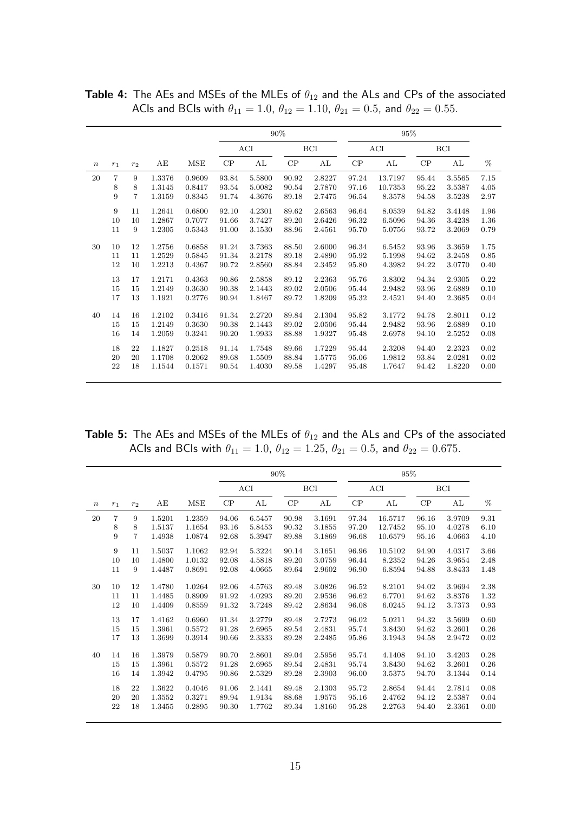|                  |       |                |        |        | 90%   |        |       |            |       | 95%     |       |        |      |
|------------------|-------|----------------|--------|--------|-------|--------|-------|------------|-------|---------|-------|--------|------|
|                  |       |                |        |        |       | ACI    |       | <b>BCI</b> |       | ACI     |       | BCI    |      |
| $\boldsymbol{n}$ | $r_1$ | $r_2$          | AЕ     | MSE    | CP    | AL     | CP    | AL         | CP    | AL      | CP    | AL     | $\%$ |
| 20               | 7     | 9              | 1.3376 | 0.9609 | 93.84 | 5.5800 | 90.92 | 2.8227     | 97.24 | 13.7197 | 95.44 | 3.5565 | 7.15 |
|                  | 8     | 8              | 1.3145 | 0.8417 | 93.54 | 5.0082 | 90.54 | 2.7870     | 97.16 | 10.7353 | 95.22 | 3.5387 | 4.05 |
|                  | 9     | $\overline{7}$ | 1.3159 | 0.8345 | 91.74 | 4.3676 | 89.18 | 2.7475     | 96.54 | 8.3578  | 94.58 | 3.5238 | 2.97 |
|                  | 9     | 11             | 1.2641 | 0.6800 | 92.10 | 4.2301 | 89.62 | 2.6563     | 96.64 | 8.0539  | 94.82 | 3.4148 | 1.96 |
|                  | 10    | 10             | 1.2867 | 0.7077 | 91.66 | 3.7427 | 89.20 | 2.6426     | 96.32 | 6.5096  | 94.36 | 3.4238 | 1.36 |
|                  | 11    | 9              | 1.2305 | 0.5343 | 91.00 | 3.1530 | 88.96 | 2.4561     | 95.70 | 5.0756  | 93.72 | 3.2069 | 0.79 |
| 30               | 10    | 12             | 1.2756 | 0.6858 | 91.24 | 3.7363 | 88.50 | 2.6000     | 96.34 | 6.5452  | 93.96 | 3.3659 | 1.75 |
|                  | 11    | 11             | 1.2529 | 0.5845 | 91.34 | 3.2178 | 89.18 | 2.4890     | 95.92 | 5.1998  | 94.62 | 3.2458 | 0.85 |
|                  | 12    | 10             | 1.2213 | 0.4367 | 90.72 | 2.8560 | 88.84 | 2.3452     | 95.80 | 4.3982  | 94.22 | 3.0770 | 0.40 |
|                  | 13    | 17             | 1.2171 | 0.4363 | 90.86 | 2.5858 | 89.12 | 2.2363     | 95.76 | 3.8302  | 94.34 | 2.9305 | 0.22 |
|                  | 15    | 15             | 1.2149 | 0.3630 | 90.38 | 2.1443 | 89.02 | 2.0506     | 95.44 | 2.9482  | 93.96 | 2.6889 | 0.10 |
|                  | 17    | 13             | 1.1921 | 0.2776 | 90.94 | 1.8467 | 89.72 | 1.8209     | 95.32 | 2.4521  | 94.40 | 2.3685 | 0.04 |
| 40               | 14    | 16             | 1.2102 | 0.3416 | 91.34 | 2.2720 | 89.84 | 2.1304     | 95.82 | 3.1772  | 94.78 | 2.8011 | 0.12 |
|                  | 15    | 15             | 1.2149 | 0.3630 | 90.38 | 2.1443 | 89.02 | 2.0506     | 95.44 | 2.9482  | 93.96 | 2.6889 | 0.10 |
|                  | 16    | 14             | 1.2059 | 0.3241 | 90.20 | 1.9933 | 88.88 | 1.9327     | 95.48 | 2.6978  | 94.10 | 2.5252 | 0.08 |
|                  | 18    | 22             | 1.1827 | 0.2518 | 91.14 | 1.7548 | 89.66 | 1.7229     | 95.44 | 2.3208  | 94.40 | 2.2323 | 0.02 |
|                  | 20    | 20             | 1.1708 | 0.2062 | 89.68 | 1.5509 | 88.84 | 1.5775     | 95.06 | 1.9812  | 93.84 | 2.0281 | 0.02 |
|                  | 22    | 18             | 1.1544 | 0.1571 | 90.54 | 1.4030 | 89.58 | 1.4297     | 95.48 | 1.7647  | 94.42 | 1.8220 | 0.00 |
|                  |       |                |        |        |       |        |       |            |       |         |       |        |      |

**Table 4:** The AEs and MSEs of the MLEs of  $\theta_{12}$  and the ALs and CPs of the associated ACIs and BCIs with  $\theta_{11} = 1.0$ ,  $\theta_{12} = 1.10$ ,  $\theta_{21} = 0.5$ , and  $\theta_{22} = 0.55$ .

**Table 5:** The AEs and MSEs of the MLEs of  $\theta_{12}$  and the ALs and CPs of the associated ACIs and BCIs with  $\theta_{11} = 1.0$ ,  $\theta_{12} = 1.25$ ,  $\theta_{21} = 0.5$ , and  $\theta_{22} = 0.675$ .

|                  |       |                |        |        | 90%   |        |       |        | 95%   |         |       |        |      |
|------------------|-------|----------------|--------|--------|-------|--------|-------|--------|-------|---------|-------|--------|------|
|                  |       |                |        |        |       | ACI    |       | BCI    |       | ACI     |       | BCI    |      |
| $\boldsymbol{n}$ | $r_1$ | r <sub>2</sub> | AЕ     | MSE    | CP    | AL     | CP    | AL     | CP    | AL      | CP    | AL     | %    |
| 20               | 7     | 9              | 1.5201 | 1.2359 | 94.06 | 6.5457 | 90.98 | 3.1691 | 97.34 | 16.5717 | 96.16 | 3.9709 | 9.31 |
|                  | 8     | 8              | 1.5137 | 1.1654 | 93.16 | 5.8453 | 90.32 | 3.1855 | 97.20 | 12.7452 | 95.10 | 4.0278 | 6.10 |
|                  | 9     | $\overline{7}$ | 1.4938 | 1.0874 | 92.68 | 5.3947 | 89.88 | 3.1869 | 96.68 | 10.6579 | 95.16 | 4.0663 | 4.10 |
|                  | 9     | 11             | 1.5037 | 1.1062 | 92.94 | 5.3224 | 90.14 | 3.1651 | 96.96 | 10.5102 | 94.90 | 4.0317 | 3.66 |
|                  | 10    | 10             | 1.4800 | 1.0132 | 92.08 | 4.5818 | 89.20 | 3.0759 | 96.44 | 8.2352  | 94.26 | 3.9654 | 2.48 |
| 30               | 11    | 9              | 1.4487 | 0.8691 | 92.08 | 4.0665 | 89.64 | 2.9602 | 96.90 | 6.8594  | 94.88 | 3.8433 | 1.48 |
|                  | 10    | 12             | 1.4780 | 1.0264 | 92.06 | 4.5763 | 89.48 | 3.0826 | 96.52 | 8.2101  | 94.02 | 3.9694 | 2.38 |
|                  | 11    | 11             | 1.4485 | 0.8909 | 91.92 | 4.0293 | 89.20 | 2.9536 | 96.62 | 6.7701  | 94.62 | 3.8376 | 1.32 |
|                  | 12    | 10             | 1.4409 | 0.8559 | 91.32 | 3.7248 | 89.42 | 2.8634 | 96.08 | 6.0245  | 94.12 | 3.7373 | 0.93 |
|                  | 13    | 17             | 1.4162 | 0.6960 | 91.34 | 3.2779 | 89.48 | 2.7273 | 96.02 | 5.0211  | 94.32 | 3.5699 | 0.60 |
| 40               | 15    | 15             | 1.3961 | 0.5572 | 91.28 | 2.6965 | 89.54 | 2.4831 | 95.74 | 3.8430  | 94.62 | 3.2601 | 0.26 |
|                  | 17    | 13             | 1.3699 | 0.3914 | 90.66 | 2.3333 | 89.28 | 2.2485 | 95.86 | 3.1943  | 94.58 | 2.9472 | 0.02 |
|                  | 14    | 16             | 1.3979 | 0.5879 | 90.70 | 2.8601 | 89.04 | 2.5956 | 95.74 | 4.1408  | 94.10 | 3.4203 | 0.28 |
|                  | 15    | 15             | 1.3961 | 0.5572 | 91.28 | 2.6965 | 89.54 | 2.4831 | 95.74 | 3.8430  | 94.62 | 3.2601 | 0.26 |
|                  | 16    | 14             | 1.3942 | 0.4795 | 90.86 | 2.5329 | 89.28 | 2.3903 | 96.00 | 3.5375  | 94.70 | 3.1344 | 0.14 |
|                  | 18    | 22             | 1.3622 | 0.4046 | 91.06 | 2.1441 | 89.48 | 2.1303 | 95.72 | 2.8654  | 94.44 | 2.7814 | 0.08 |
|                  | 20    | 20             | 1.3552 | 0.3271 | 89.94 | 1.9134 | 88.68 | 1.9575 | 95.16 | 2.4762  | 94.12 | 2.5387 | 0.04 |
|                  | 22    | 18             | 1.3455 | 0.2895 | 90.30 | 1.7762 | 89.34 | 1.8160 | 95.28 | 2.2763  | 94.40 | 2.3361 | 0.00 |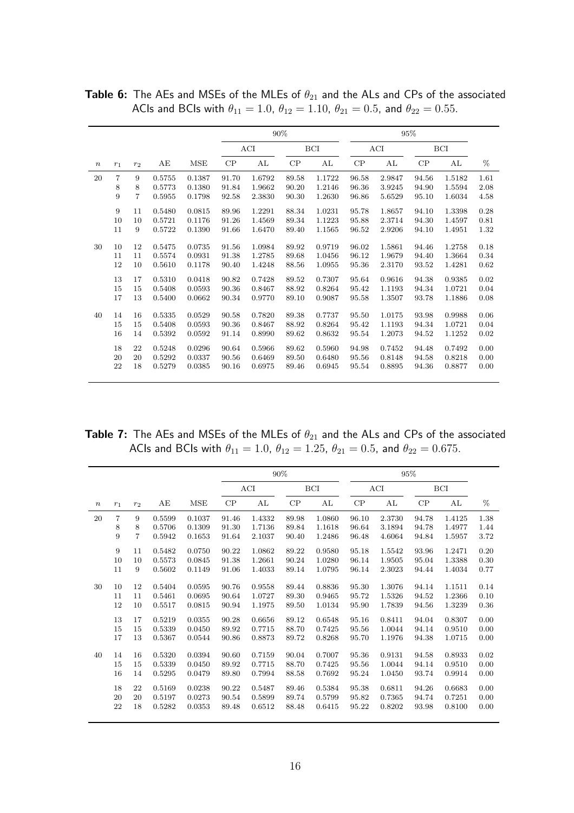|                  |                |                |        |        |       |        | 90%   |        |       |        | 95%   |            |      |
|------------------|----------------|----------------|--------|--------|-------|--------|-------|--------|-------|--------|-------|------------|------|
|                  |                |                |        |        |       | ACI    |       | BCI    |       | ACI    |       | <b>BCI</b> |      |
| $\boldsymbol{n}$ | $r_1$          | $r_2$          | АE     | MSE    | CP    | AL     | CP    | AL     | CP    | AL     | CP    | AL         | %    |
| 20               | $\overline{7}$ | 9              | 0.5755 | 0.1387 | 91.70 | 1.6792 | 89.58 | 1.1722 | 96.58 | 2.9847 | 94.56 | 1.5182     | 1.61 |
|                  | 8              | 8              | 0.5773 | 0.1380 | 91.84 | 1.9662 | 90.20 | 1.2146 | 96.36 | 3.9245 | 94.90 | 1.5594     | 2.08 |
|                  | 9              | $\overline{7}$ | 0.5955 | 0.1798 | 92.58 | 2.3830 | 90.30 | 1.2630 | 96.86 | 5.6529 | 95.10 | 1.6034     | 4.58 |
|                  | 9              | 11             | 0.5480 | 0.0815 | 89.96 | 1.2291 | 88.34 | 1.0231 | 95.78 | 1.8657 | 94.10 | 1.3398     | 0.28 |
|                  | 10             | 10             | 0.5721 | 0.1176 | 91.26 | 1.4569 | 89.34 | 1.1223 | 95.88 | 2.3714 | 94.30 | 1.4597     | 0.81 |
|                  | 11             | 9              | 0.5722 | 0.1390 | 91.66 | 1.6470 | 89.40 | 1.1565 | 96.52 | 2.9206 | 94.10 | 1.4951     | 1.32 |
| 30               | 10             | 12             | 0.5475 | 0.0735 | 91.56 | 1.0984 | 89.92 | 0.9719 | 96.02 | 1.5861 | 94.46 | 1.2758     | 0.18 |
|                  | 11             | 11             | 0.5574 | 0.0931 | 91.38 | 1.2785 | 89.68 | 1.0456 | 96.12 | 1.9679 | 94.40 | 1.3664     | 0.34 |
|                  | 12             | 10             | 0.5610 | 0.1178 | 90.40 | 1.4248 | 88.56 | 1.0955 | 95.36 | 2.3170 | 93.52 | 1.4281     | 0.62 |
|                  | 13             | 17             | 0.5310 | 0.0418 | 90.82 | 0.7428 | 89.52 | 0.7307 | 95.64 | 0.9616 | 94.38 | 0.9385     | 0.02 |
|                  | 15             | 15             | 0.5408 | 0.0593 | 90.36 | 0.8467 | 88.92 | 0.8264 | 95.42 | 1.1193 | 94.34 | 1.0721     | 0.04 |
|                  | 17             | 13             | 0.5400 | 0.0662 | 90.34 | 0.9770 | 89.10 | 0.9087 | 95.58 | 1.3507 | 93.78 | 1.1886     | 0.08 |
| 40               | 14             | 16             | 0.5335 | 0.0529 | 90.58 | 0.7820 | 89.38 | 0.7737 | 95.50 | 1.0175 | 93.98 | 0.9988     | 0.06 |
|                  | 15             | 15             | 0.5408 | 0.0593 | 90.36 | 0.8467 | 88.92 | 0.8264 | 95.42 | 1.1193 | 94.34 | 1.0721     | 0.04 |
|                  | 16             | 14             | 0.5392 | 0.0592 | 91.14 | 0.8990 | 89.62 | 0.8632 | 95.54 | 1.2073 | 94.52 | 1.1252     | 0.02 |
|                  | 18             | 22             | 0.5248 | 0.0296 | 90.64 | 0.5966 | 89.62 | 0.5960 | 94.98 | 0.7452 | 94.48 | 0.7492     | 0.00 |
|                  | 20             | 20             | 0.5292 | 0.0337 | 90.56 | 0.6469 | 89.50 | 0.6480 | 95.56 | 0.8148 | 94.58 | 0.8218     | 0.00 |
|                  | 22             | 18             | 0.5279 | 0.0385 | 90.16 | 0.6975 | 89.46 | 0.6945 | 95.54 | 0.8895 | 94.36 | 0.8877     | 0.00 |

**Table 6:** The AEs and MSEs of the MLEs of  $\theta_{21}$  and the ALs and CPs of the associated ACIs and BCIs with  $\theta_{11} = 1.0$ ,  $\theta_{12} = 1.10$ ,  $\theta_{21} = 0.5$ , and  $\theta_{22} = 0.55$ .

**Table 7:** The AEs and MSEs of the MLEs of  $\theta_{21}$  and the ALs and CPs of the associated ACIs and BCIs with  $\theta_{11} = 1.0$ ,  $\theta_{12} = 1.25$ ,  $\theta_{21} = 0.5$ , and  $\theta_{22} = 0.675$ .

|       |       |                |        |        | 90%   |        |               |        |          | 95%    |       |            |      |
|-------|-------|----------------|--------|--------|-------|--------|---------------|--------|----------|--------|-------|------------|------|
|       |       |                |        |        |       | ACI    |               | BCI    |          | ACI    |       | <b>BCI</b> |      |
| $\,n$ | $r_1$ | $r_2$          | AЕ     | MSE    | CP    | AL     | $\mathrm{CP}$ | AL     | $\rm CP$ | AL     | CP    | AL         | %    |
| 20    | 7     | 9              | 0.5599 | 0.1037 | 91.46 | 1.4332 | 89.98         | 1.0860 | 96.10    | 2.3730 | 94.78 | 1.4125     | 1.38 |
|       | 8     | 8              | 0.5706 | 0.1309 | 91.30 | 1.7136 | 89.84         | 1.1618 | 96.64    | 3.1894 | 94.78 | 1.4977     | 1.44 |
|       | 9     | $\overline{7}$ | 0.5942 | 0.1653 | 91.64 | 2.1037 | 90.40         | 1.2486 | 96.48    | 4.6064 | 94.84 | 1.5957     | 3.72 |
|       | 9     | 11             | 0.5482 | 0.0750 | 90.22 | 1.0862 | 89.22         | 0.9580 | 95.18    | 1.5542 | 93.96 | 1.2471     | 0.20 |
|       | 10    | 10             | 0.5573 | 0.0845 | 91.38 | 1.2661 | 90.24         | 1.0280 | 96.14    | 1.9505 | 95.04 | 1.3388     | 0.30 |
|       | 11    | 9              | 0.5602 | 0.1149 | 91.06 | 1.4033 | 89.14         | 1.0795 | 96.14    | 2.3023 | 94.44 | 1.4034     | 0.77 |
| 30    | 10    | 12             | 0.5404 | 0.0595 | 90.76 | 0.9558 | 89.44         | 0.8836 | 95.30    | 1.3076 | 94.14 | 1.1511     | 0.14 |
|       | 11    | 11             | 0.5461 | 0.0695 | 90.64 | 1.0727 | 89.30         | 0.9465 | 95.72    | 1.5326 | 94.52 | 1.2366     | 0.10 |
|       | 12    | 10             | 0.5517 | 0.0815 | 90.94 | 1.1975 | 89.50         | 1.0134 | 95.90    | 1.7839 | 94.56 | 1.3239     | 0.36 |
|       | 13    | 17             | 0.5219 | 0.0355 | 90.28 | 0.6656 | 89.12         | 0.6548 | 95.16    | 0.8411 | 94.04 | 0.8307     | 0.00 |
|       | 15    | 15             | 0.5339 | 0.0450 | 89.92 | 0.7715 | 88.70         | 0.7425 | 95.56    | 1.0044 | 94.14 | 0.9510     | 0.00 |
|       | 17    | 13             | 0.5367 | 0.0544 | 90.86 | 0.8873 | 89.72         | 0.8268 | 95.70    | 1.1976 | 94.38 | 1.0715     | 0.00 |
| 40    | 14    | 16             | 0.5320 | 0.0394 | 90.60 | 0.7159 | 90.04         | 0.7007 | 95.36    | 0.9131 | 94.58 | 0.8933     | 0.02 |
|       | 15    | 15             | 0.5339 | 0.0450 | 89.92 | 0.7715 | 88.70         | 0.7425 | 95.56    | 1.0044 | 94.14 | 0.9510     | 0.00 |
|       | 16    | 14             | 0.5295 | 0.0479 | 89.80 | 0.7994 | 88.58         | 0.7692 | 95.24    | 1.0450 | 93.74 | 0.9914     | 0.00 |
|       | 18    | 22             | 0.5169 | 0.0238 | 90.22 | 0.5487 | 89.46         | 0.5384 | 95.38    | 0.6811 | 94.26 | 0.6683     | 0.00 |
|       | 20    | 20             | 0.5197 | 0.0273 | 90.54 | 0.5899 | 89.74         | 0.5799 | 95.82    | 0.7365 | 94.74 | 0.7251     | 0.00 |
|       | 22    | 18             | 0.5282 | 0.0353 | 89.48 | 0.6512 | 88.48         | 0.6415 | 95.22    | 0.8202 | 93.98 | 0.8100     | 0.00 |
|       |       |                |        |        |       |        |               |        |          |        |       |            |      |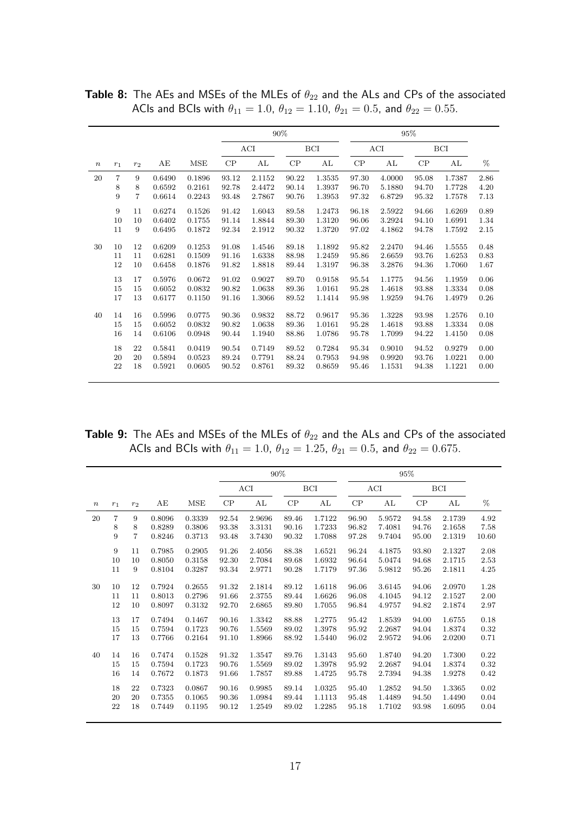|                  |                |                |        |        | 90%   |        |           |        |       |        | 95%   |            |      |
|------------------|----------------|----------------|--------|--------|-------|--------|-----------|--------|-------|--------|-------|------------|------|
|                  |                |                |        |        |       | ACI    |           | BCI    |       | ACI    |       | <b>BCI</b> |      |
| $\boldsymbol{n}$ | $r_1$          | $r_2$          | АE     | MSE    | CP    | AL     | $\cal CP$ | AL     | CP    | AL     | CP    | AL         | %    |
| 20               | $\overline{7}$ | 9              | 0.6490 | 0.1896 | 93.12 | 2.1152 | 90.22     | 1.3535 | 97.30 | 4.0000 | 95.08 | 1.7387     | 2.86 |
|                  | 8              | 8              | 0.6592 | 0.2161 | 92.78 | 2.4472 | 90.14     | 1.3937 | 96.70 | 5.1880 | 94.70 | 1.7728     | 4.20 |
|                  | 9              | $\overline{7}$ | 0.6614 | 0.2243 | 93.48 | 2.7867 | 90.76     | 1.3953 | 97.32 | 6.8729 | 95.32 | 1.7578     | 7.13 |
|                  | 9              | 11             | 0.6274 | 0.1526 | 91.42 | 1.6043 | 89.58     | 1.2473 | 96.18 | 2.5922 | 94.66 | 1.6269     | 0.89 |
|                  | 10             | 10             | 0.6402 | 0.1755 | 91.14 | 1.8844 | 89.30     | 1.3120 | 96.06 | 3.2924 | 94.10 | 1.6991     | 1.34 |
|                  | 11             | 9              | 0.6495 | 0.1872 | 92.34 | 2.1912 | 90.32     | 1.3720 | 97.02 | 4.1862 | 94.78 | 1.7592     | 2.15 |
| 30               | 10             | 12             | 0.6209 | 0.1253 | 91.08 | 1.4546 | 89.18     | 1.1892 | 95.82 | 2.2470 | 94.46 | 1.5555     | 0.48 |
|                  | 11             | 11             | 0.6281 | 0.1509 | 91.16 | 1.6338 | 88.98     | 1.2459 | 95.86 | 2.6659 | 93.76 | 1.6253     | 0.83 |
|                  | 12             | 10             | 0.6458 | 0.1876 | 91.82 | 1.8818 | 89.44     | 1.3197 | 96.38 | 3.2876 | 94.36 | 1.7060     | 1.67 |
|                  | 13             | 17             | 0.5976 | 0.0672 | 91.02 | 0.9027 | 89.70     | 0.9158 | 95.54 | 1.1775 | 94.56 | 1.1959     | 0.06 |
|                  | 15             | 15             | 0.6052 | 0.0832 | 90.82 | 1.0638 | 89.36     | 1.0161 | 95.28 | 1.4618 | 93.88 | 1.3334     | 0.08 |
|                  | 17             | 13             | 0.6177 | 0.1150 | 91.16 | 1.3066 | 89.52     | 1.1414 | 95.98 | 1.9259 | 94.76 | 1.4979     | 0.26 |
| 40               | 14             | 16             | 0.5996 | 0.0775 | 90.36 | 0.9832 | 88.72     | 0.9617 | 95.36 | 1.3228 | 93.98 | 1.2576     | 0.10 |
|                  | 15             | 15             | 0.6052 | 0.0832 | 90.82 | 1.0638 | 89.36     | 1.0161 | 95.28 | 1.4618 | 93.88 | 1.3334     | 0.08 |
|                  | 16             | 14             | 0.6106 | 0.0948 | 90.44 | 1.1940 | 88.86     | 1.0786 | 95.78 | 1.7099 | 94.22 | 1.4150     | 0.08 |
|                  | 18             | 22             | 0.5841 | 0.0419 | 90.54 | 0.7149 | 89.52     | 0.7284 | 95.34 | 0.9010 | 94.52 | 0.9279     | 0.00 |
|                  | 20             | 20             | 0.5894 | 0.0523 | 89.24 | 0.7791 | 88.24     | 0.7953 | 94.98 | 0.9920 | 93.76 | 1.0221     | 0.00 |
|                  | 22             | 18             | 0.5921 | 0.0605 | 90.52 | 0.8761 | 89.32     | 0.8659 | 95.46 | 1.1531 | 94.38 | 1.1221     | 0.00 |
|                  |                |                |        |        |       |        |           |        |       |        |       |            |      |

**Table 8:** The AEs and MSEs of the MLEs of  $\theta_{22}$  and the ALs and CPs of the associated ACIs and BCIs with  $\theta_{11} = 1.0$ ,  $\theta_{12} = 1.10$ ,  $\theta_{21} = 0.5$ , and  $\theta_{22} = 0.55$ .

Table 9: The AEs and MSEs of the MLEs of  $\theta_{22}$  and the ALs and CPs of the associated ACIs and BCIs with  $\theta_{11} = 1.0$ ,  $\theta_{12} = 1.25$ ,  $\theta_{21} = 0.5$ , and  $\theta_{22} = 0.675$ .

|                  |                |                |        |            | 90%   |        |       |        |       | 95%    |       |            |       |
|------------------|----------------|----------------|--------|------------|-------|--------|-------|--------|-------|--------|-------|------------|-------|
|                  |                |                |        |            |       | ACI    |       | BCI    |       | ACI    |       | <b>BCI</b> |       |
| $\boldsymbol{n}$ | $r_1$          | r <sub>2</sub> | AЕ     | <b>MSE</b> | CP    | AL     | CP    | AL     | CP    | AL     | CP    | AL         | %     |
| 20               | $\overline{7}$ | 9              | 0.8096 | 0.3339     | 92.54 | 2.9696 | 89.46 | 1.7122 | 96.90 | 5.9572 | 94.58 | 2.1739     | 4.92  |
|                  | 8              | 8              | 0.8289 | 0.3806     | 93.38 | 3.3131 | 90.16 | 1.7233 | 96.82 | 7.4081 | 94.76 | 2.1658     | 7.58  |
|                  | 9              | 7              | 0.8246 | 0.3713     | 93.48 | 3.7430 | 90.32 | 1.7088 | 97.28 | 9.7404 | 95.00 | 2.1319     | 10.60 |
|                  | 9              | 11             | 0.7985 | 0.2905     | 91.26 | 2.4056 | 88.38 | 1.6521 | 96.24 | 4.1875 | 93.80 | 2.1327     | 2.08  |
|                  | 10             | 10             | 0.8050 | 0.3158     | 92.30 | 2.7084 | 89.68 | 1.6932 | 96.64 | 5.0474 | 94.68 | 2.1715     | 2.53  |
|                  | 11             | 9              | 0.8104 | 0.3287     | 93.34 | 2.9771 | 90.28 | 1.7179 | 97.36 | 5.9812 | 95.26 | 2.1811     | 4.25  |
| 30               | 10             | 12             | 0.7924 | 0.2655     | 91.32 | 2.1814 | 89.12 | 1.6118 | 96.06 | 3.6145 | 94.06 | 2.0970     | 1.28  |
|                  | 11             | 11             | 0.8013 | 0.2796     | 91.66 | 2.3755 | 89.44 | 1.6626 | 96.08 | 4.1045 | 94.12 | 2.1527     | 2.00  |
|                  | 12             | 10             | 0.8097 | 0.3132     | 92.70 | 2.6865 | 89.80 | 1.7055 | 96.84 | 4.9757 | 94.82 | 2.1874     | 2.97  |
|                  | 13             | 17             | 0.7494 | 0.1467     | 90.16 | 1.3342 | 88.88 | 1.2775 | 95.42 | 1.8539 | 94.00 | 1.6755     | 0.18  |
|                  | 15             | 15             | 0.7594 | 0.1723     | 90.76 | 1.5569 | 89.02 | 1.3978 | 95.92 | 2.2687 | 94.04 | 1.8374     | 0.32  |
|                  | 17             | 13             | 0.7766 | 0.2164     | 91.10 | 1.8966 | 88.92 | 1.5440 | 96.02 | 2.9572 | 94.06 | 2.0200     | 0.71  |
| 40               | 14             | 16             | 0.7474 | 0.1528     | 91.32 | 1.3547 | 89.76 | 1.3143 | 95.60 | 1.8740 | 94.20 | 1.7300     | 0.22  |
|                  | 15             | 15             | 0.7594 | 0.1723     | 90.76 | 1.5569 | 89.02 | 1.3978 | 95.92 | 2.2687 | 94.04 | 1.8374     | 0.32  |
|                  | 16             | 14             | 0.7672 | 0.1873     | 91.66 | 1.7857 | 89.88 | 1.4725 | 95.78 | 2.7394 | 94.38 | 1.9278     | 0.42  |
|                  | 18             | 22             | 0.7323 | 0.0867     | 90.16 | 0.9985 | 89.14 | 1.0325 | 95.40 | 1.2852 | 94.50 | 1.3365     | 0.02  |
|                  | 20             | 20             | 0.7355 | 0.1065     | 90.36 | 1.0984 | 89.44 | 1.1113 | 95.48 | 1.4489 | 94.50 | 1.4490     | 0.04  |
|                  | 22             | 18             | 0.7449 | 0.1195     | 90.12 | 1.2549 | 89.02 | 1.2285 | 95.18 | 1.7102 | 93.98 | 1.6095     | 0.04  |
|                  |                |                |        |            |       |        |       |        |       |        |       |            |       |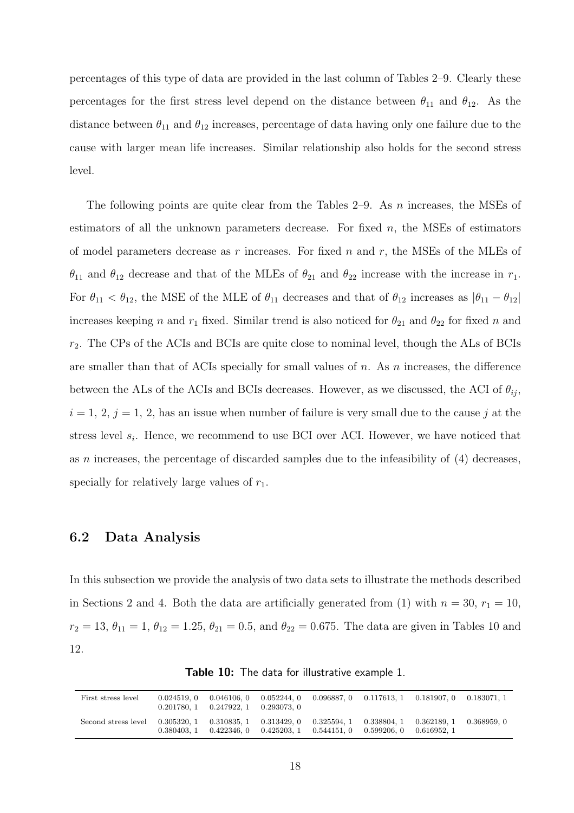percentages of this type of data are provided in the last column of Tables 2–9. Clearly these percentages for the first stress level depend on the distance between  $\theta_{11}$  and  $\theta_{12}$ . As the distance between  $\theta_{11}$  and  $\theta_{12}$  increases, percentage of data having only one failure due to the cause with larger mean life increases. Similar relationship also holds for the second stress level.

The following points are quite clear from the Tables  $2-9$ . As n increases, the MSEs of estimators of all the unknown parameters decrease. For fixed  $n$ , the MSEs of estimators of model parameters decrease as r increases. For fixed n and r, the MSEs of the MLEs of  $\theta_{11}$  and  $\theta_{12}$  decrease and that of the MLEs of  $\theta_{21}$  and  $\theta_{22}$  increase with the increase in  $r_1$ . For  $\theta_{11} < \theta_{12}$ , the MSE of the MLE of  $\theta_{11}$  decreases and that of  $\theta_{12}$  increases as  $|\theta_{11} - \theta_{12}|$ increases keeping n and  $r_1$  fixed. Similar trend is also noticed for  $\theta_{21}$  and  $\theta_{22}$  for fixed n and  $r_2$ . The CPs of the ACIs and BCIs are quite close to nominal level, though the ALs of BCIs are smaller than that of ACIs specially for small values of  $n$ . As  $n$  increases, the difference between the ALs of the ACIs and BCIs decreases. However, as we discussed, the ACI of  $\theta_{ij}$ ,  $i = 1, 2, j = 1, 2$ , has an issue when number of failure is very small due to the cause j at the stress level  $s_i$ . Hence, we recommend to use BCI over ACI. However, we have noticed that as n increases, the percentage of discarded samples due to the infeasibility of  $(4)$  decreases, specially for relatively large values of  $r_1$ .

#### 6.2 Data Analysis

In this subsection we provide the analysis of two data sets to illustrate the methods described in Sections 2 and 4. Both the data are artificially generated from (1) with  $n = 30$ ,  $r_1 = 10$ ,  $r_2 = 13, \theta_{11} = 1, \theta_{12} = 1.25, \theta_{21} = 0.5, \text{ and } \theta_{22} = 0.675.$  The data are given in Tables 10 and 12.

| First stress level                                                                                      | 0.024519.0 | $0.201780, 1$ $0.247922, 1$ $0.293073, 0$ |  | $0.046106, 0$ $0.052244, 0$ $0.096887, 0$ $0.117613, 1$ $0.181907, 0$ $0.183071, 1$ |  |
|---------------------------------------------------------------------------------------------------------|------------|-------------------------------------------|--|-------------------------------------------------------------------------------------|--|
| Second stress level 0.305320, 1 0.310835, 1 0.313429, 0 0.325594, 1 0.338804, 1 0.362189, 1 0.368959, 0 | 0.380403.1 |                                           |  | $0.422346, 0$ $0.425203, 1$ $0.544151, 0$ $0.599206, 0$ $0.616952, 1$               |  |

Table 10: The data for illustrative example 1.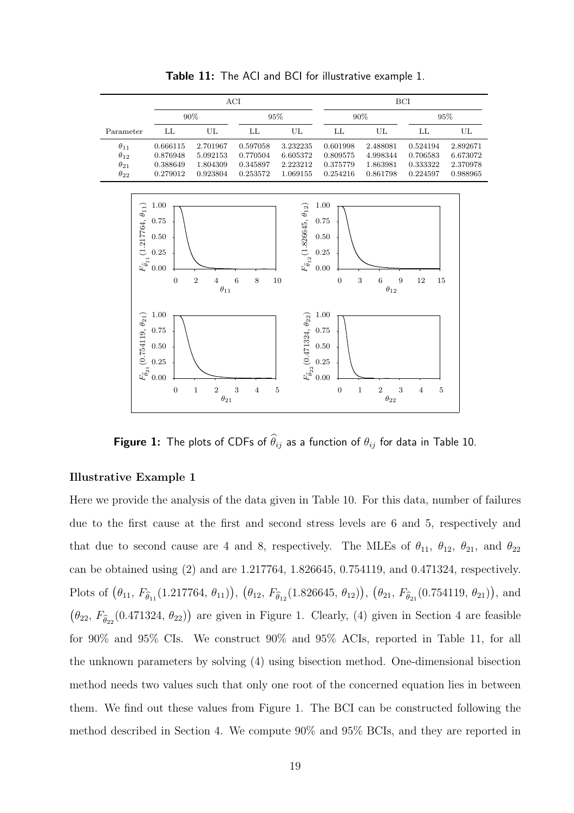

Table 11: The ACI and BCI for illustrative example 1.

**Figure 1:** The plots of CDFs of  $\widehat{\theta}_{ij}$  as a function of  $\theta_{ij}$  for data in Table 10.

#### Illustrative Example 1

Here we provide the analysis of the data given in Table 10. For this data, number of failures due to the first cause at the first and second stress levels are 6 and 5, respectively and that due to second cause are 4 and 8, respectively. The MLEs of  $\theta_{11}$ ,  $\theta_{12}$ ,  $\theta_{21}$ , and  $\theta_{22}$ can be obtained using (2) and are 1.217764, 1.826645, 0.754119, and 0.471324, respectively. Plots of  $(\theta_{11}, F_{\hat{\theta}_{11}}(1.217764, \theta_{11})), (\theta_{12}, F_{\hat{\theta}_{12}}(1.826645, \theta_{12})), (\theta_{21}, F_{\hat{\theta}_{21}}(0.754119, \theta_{21})),$  and  $(\theta_{22}, F_{\hat{\theta}_{22}}(0.471324, \theta_{22}))$  are given in Figure 1. Clearly, (4) given in Section 4 are feasible for 90% and 95% CIs. We construct 90% and 95% ACIs, reported in Table 11, for all the unknown parameters by solving (4) using bisection method. One-dimensional bisection method needs two values such that only one root of the concerned equation lies in between them. We find out these values from Figure 1. The BCI can be constructed following the method described in Section 4. We compute 90% and 95% BCIs, and they are reported in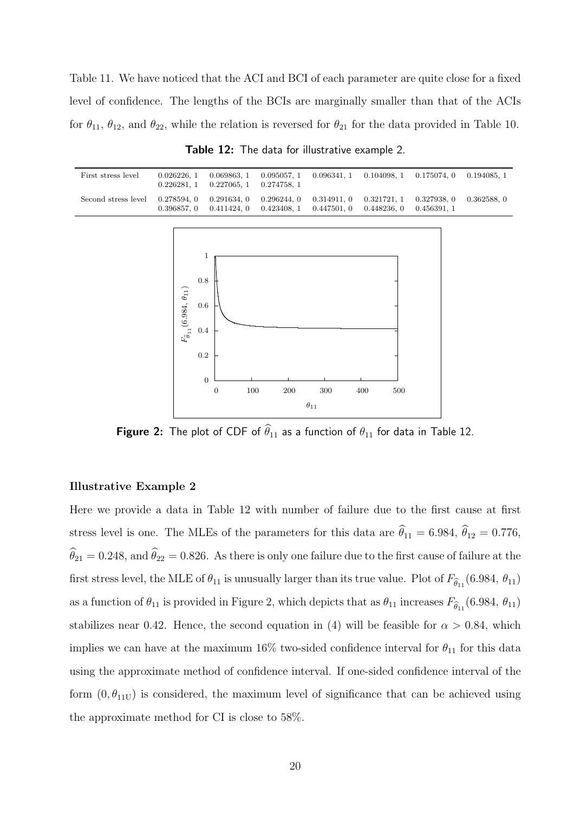Table 11. We have noticed that the ACI and BCI of each parameter are quite close for a fixed level of confidence. The lengths of the BCIs are marginally smaller than that of the ACIs for  $\theta_{11}$ ,  $\theta_{12}$ , and  $\theta_{22}$ , while the relation is reversed for  $\theta_{21}$  for the data provided in Table 10.

| First stress level                                                                                      | $0.226281, 1$ $0.227065, 1$ $0.274758, 1$ |  |                                                                                     | $0.026226, 1$ $0.069863, 1$ $0.095057, 1$ $0.096341, 1$ $0.104098, 1$ $0.175074, 0$ $0.194085, 1$ |  |
|---------------------------------------------------------------------------------------------------------|-------------------------------------------|--|-------------------------------------------------------------------------------------|---------------------------------------------------------------------------------------------------|--|
| Second stress level 0.278594, 0 0.291634, 0 0.296244, 0 0.314911, 0 0.321721, 1 0.327938, 0 0.362588, 0 |                                           |  | $0.396857, 0$ $0.411424, 0$ $0.423408, 1$ $0.447501, 0$ $0.448236, 0$ $0.456391, 1$ |                                                                                                   |  |

Table 12: The data for illustrative example 2.



**Figure 2:** The plot of CDF of  $\widehat{\theta}_{11}$  as a function of  $\theta_{11}$  for data in Table 12.

#### Illustrative Example 2

Here we provide a data in Table 12 with number of failure due to the first cause at first stress level is one. The MLEs of the parameters for this data are  $\hat{\theta}_{11} = 6.984, \hat{\theta}_{12} = 0.776,$  $\hat{\theta}_{21} = 0.248$ , and  $\hat{\theta}_{22} = 0.826$ . As there is only one failure due to the first cause of failure at the first stress level, the MLE of  $\theta_{11}$  is unusually larger than its true value. Plot of  $F_{\widehat{\theta}_{11}}(6.984, \theta_{11})$ as a function of  $\theta_{11}$  is provided in Figure 2, which depicts that as  $\theta_{11}$  increases  $F_{\hat{\theta}_{11}}(6.984, \theta_{11})$ stabilizes near 0.42. Hence, the second equation in (4) will be feasible for  $\alpha > 0.84$ , which implies we can have at the maximum 16% two-sided confidence interval for  $\theta_{11}$  for this data using the approximate method of confidence interval. If one-sided confidence interval of the form  $(0, \theta_{11U})$  is considered, the maximum level of significance that can be achieved using the approximate method for CI is close to 58%.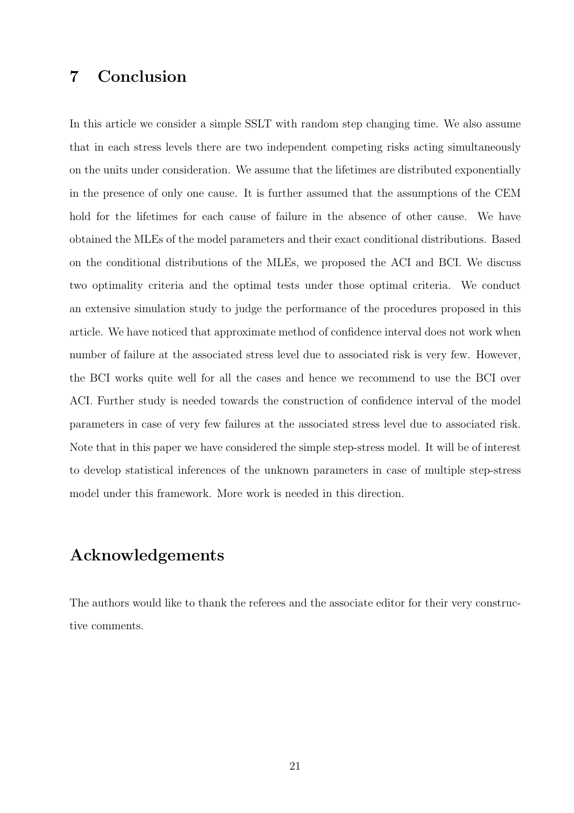# 7 Conclusion

In this article we consider a simple SSLT with random step changing time. We also assume that in each stress levels there are two independent competing risks acting simultaneously on the units under consideration. We assume that the lifetimes are distributed exponentially in the presence of only one cause. It is further assumed that the assumptions of the CEM hold for the lifetimes for each cause of failure in the absence of other cause. We have obtained the MLEs of the model parameters and their exact conditional distributions. Based on the conditional distributions of the MLEs, we proposed the ACI and BCI. We discuss two optimality criteria and the optimal tests under those optimal criteria. We conduct an extensive simulation study to judge the performance of the procedures proposed in this article. We have noticed that approximate method of confidence interval does not work when number of failure at the associated stress level due to associated risk is very few. However, the BCI works quite well for all the cases and hence we recommend to use the BCI over ACI. Further study is needed towards the construction of confidence interval of the model parameters in case of very few failures at the associated stress level due to associated risk. Note that in this paper we have considered the simple step-stress model. It will be of interest to develop statistical inferences of the unknown parameters in case of multiple step-stress model under this framework. More work is needed in this direction.

# Acknowledgements

The authors would like to thank the referees and the associate editor for their very constructive comments.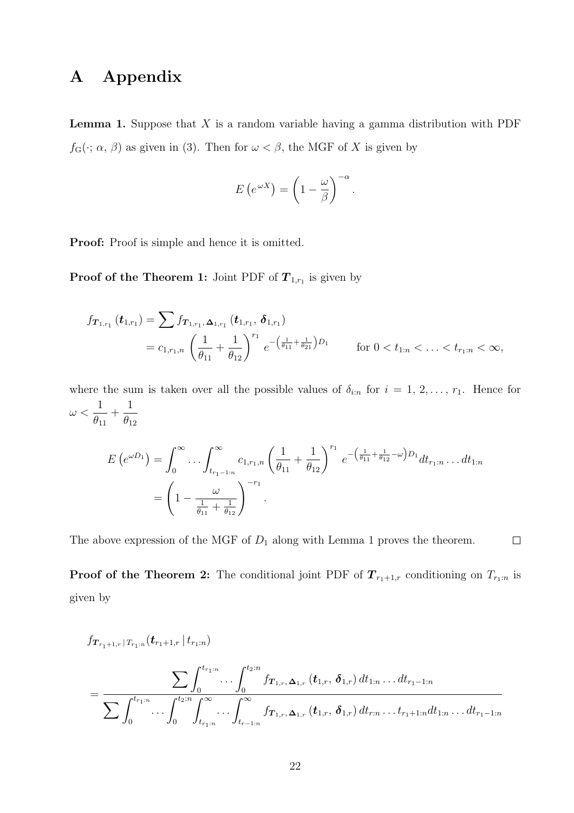# A Appendix

**Lemma 1.** Suppose that  $X$  is a random variable having a gamma distribution with PDF  $f_{\mathcal{G}}(\cdot; \alpha, \beta)$  as given in (3). Then for  $\omega < \beta$ , the MGF of X is given by

$$
E\left(e^{\omega X}\right) = \left(1 - \frac{\omega}{\beta}\right)^{-\alpha}
$$

.

Proof: Proof is simple and hence it is omitted.

**Proof of the Theorem 1:** Joint PDF of  $T_{1,r_1}$  is given by

$$
f_{\boldsymbol{T}_{1,r_{1}}}(t_{1,r_{1}}) = \sum f_{\boldsymbol{T}_{1,r_{1}},\boldsymbol{\Delta}_{1,r_{1}}}(t_{1,r_{1}},\boldsymbol{\delta}_{1,r_{1}})
$$
  
=  $c_{1,r_{1},n} \left(\frac{1}{\theta_{11}} + \frac{1}{\theta_{12}}\right)^{r_{1}} e^{-\left(\frac{1}{\theta_{11}} + \frac{1}{\theta_{21}}\right)D_{1}}$  for  $0 < t_{1:n} < ... < t_{r_{1}:n} < \infty$ ,

where the sum is taken over all the possible values of  $\delta_{i:n}$  for  $i = 1, 2, \ldots, r_1$ . Hence for  $\omega <$ 1  $\theta_{11}$  $+$ 1  $\theta_{12}$ 

$$
E\left(e^{\omega D_1}\right) = \int_0^\infty \dots \int_{t_{r_1-1:n}}^\infty c_{1,r_1,n} \left(\frac{1}{\theta_{11}} + \frac{1}{\theta_{12}}\right)^{r_1} e^{-\left(\frac{1}{\theta_{11}} + \frac{1}{\theta_{12}} - \omega\right)D_1} dt_{r_1:n} \dots dt_{1:n}
$$
  
=  $\left(1 - \frac{\omega}{\frac{1}{\theta_{11}} + \frac{1}{\theta_{12}}}\right)^{-r_1}$ .

The above expression of the MGF of  $D_1$  along with Lemma 1 proves the theorem.

 $\Box$ 

**Proof of the Theorem 2:** The conditional joint PDF of  $T_{r_1+1,r}$  conditioning on  $T_{r_1:n}$  is given by

$$
f_{\boldsymbol{T}_{r_1+1,r}|T_{r_1:n}}(t_{r_1+1,r}|t_{r_1:n})\n= \frac{\sum_{t=1}^r \int_0^{t_{r_1:n}} \cdots \int_0^{t_{2:n}} f_{\boldsymbol{T}_{1,r},\boldsymbol{\Delta}_{1,r}}(t_{1,r},\boldsymbol{\delta}_{1,r}) dt_{1:n} \ldots dt_{r_1-1:n}}{\sum_{t=1}^r \int_0^{t_{r_1:n}} \cdots \int_0^{t_{2:n}} \int_{t_{r_1:n}}^{\infty} f_{\boldsymbol{T}_{1,r},\boldsymbol{\Delta}_{1,r}}(t_{1,r},\boldsymbol{\delta}_{1,r}) dt_{r:n} \ldots t_{r_1+1:n} dt_{1:n} \ldots dt_{r_1-1:n}}
$$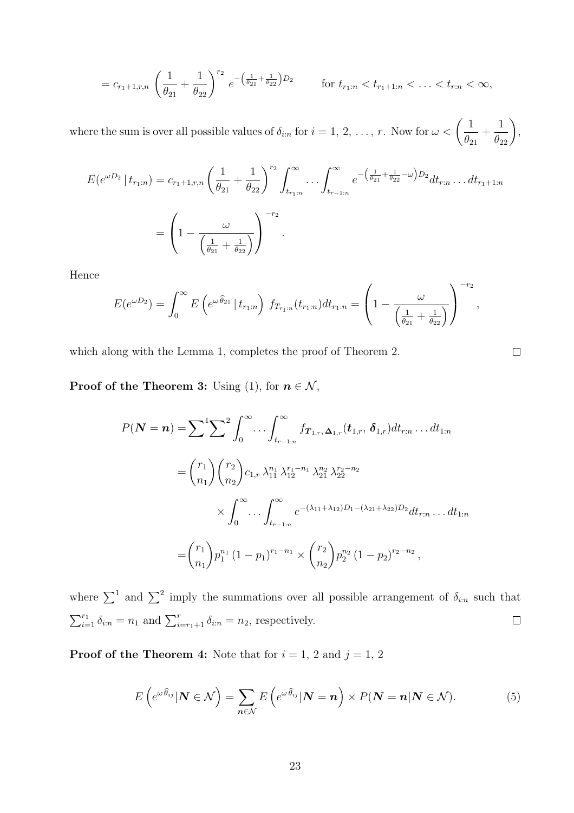$$
=c_{r_1+1,r,n}\left(\frac{1}{\theta_{21}}+\frac{1}{\theta_{22}}\right)^{r_2}e^{-\left(\frac{1}{\theta_{21}}+\frac{1}{\theta_{22}}\right)D_2}\qquad\text{for }t_{r_1,n}
$$

where the sum is over all possible values of  $\delta_{i:n}$  for  $i = 1, 2, ..., r$ . Now for  $\omega < \left(\frac{1}{\rho}\right)$  $\theta_{21}$  $+$  $\frac{1}{\theta_{22}}$ ,

$$
E(e^{\omega D_2} | t_{r_1:n}) = c_{r_1+1,r,n} \left(\frac{1}{\theta_{21}} + \frac{1}{\theta_{22}}\right)^{r_2} \int_{t_{r_1:n}}^{\infty} \dots \int_{t_{r-1:n}}^{\infty} e^{-\left(\frac{1}{\theta_{21}} + \frac{1}{\theta_{22}} - \omega\right) D_2} dt_{r:n} \dots dt_{r_1+1:n}
$$

$$
= \left(1 - \frac{\omega}{\left(\frac{1}{\theta_{21}} + \frac{1}{\theta_{22}}\right)}\right)^{-r_2}.
$$

Hence

$$
E(e^{\omega D_2}) = \int_0^\infty E\left(e^{\omega \widehat{\theta}_{21}} | t_{r_1:n}\right) f_{T_{r_1:n}}(t_{r_1:n}) dt_{r_1:n} = \left(1 - \frac{\omega}{\left(\frac{1}{\theta_{21}} + \frac{1}{\theta_{22}}\right)}\right)^{-r_2},
$$

which along with the Lemma 1, completes the proof of Theorem 2.

**Proof of the Theorem 3:** Using (1), for  $n \in \mathcal{N}$ ,

$$
P(\mathbf{N} = \mathbf{n}) = \sum^{1} \sum^{2} \int_{0}^{\infty} \cdots \int_{t_{r-1:n}}^{\infty} f_{\mathbf{T}_{1,r}, \Delta_{1,r}}(\mathbf{t}_{1,r}, \delta_{1,r}) dt_{r:n} \dots dt_{1:n}
$$
  
\n
$$
= {r_1 \choose n_1} {r_2 \choose n_2} c_{1,r} \lambda_{11}^{n_1} \lambda_{12}^{r_1-n_1} \lambda_{21}^{n_2} \lambda_{22}^{r_2-n_2}
$$
  
\n
$$
\times \int_{0}^{\infty} \cdots \int_{t_{r-1:n}}^{\infty} e^{-(\lambda_{11}+\lambda_{12})D_1-(\lambda_{21}+\lambda_{22})D_2} dt_{r:n} \dots dt_{1:n}
$$
  
\n
$$
= {r_1 \choose n_1} p_1^{n_1} (1-p_1)^{r_1-n_1} \times {r_2 \choose n_2} p_2^{n_2} (1-p_2)^{r_2-n_2},
$$

where  $\sum_{}^{1}$  and  $\sum_{}^{2}$  imply the summations over all possible arrangement of  $\delta_{i:n}$  such that  $\sum_{i=1}^{r_1} \delta_{i:n} = n_1$  and  $\sum_{i=r_1+1}^{r} \delta_{i:n} = n_2$ , respectively.  $\Box$ 

**Proof of the Theorem 4:** Note that for  $i = 1, 2$  and  $j = 1, 2$ 

$$
E\left(e^{\omega\widehat{\theta}_{ij}}|\mathbf{N}\in\mathcal{N}\right)=\sum_{\mathbf{n}\in\mathcal{N}}E\left(e^{\omega\widehat{\theta}_{ij}}|\mathbf{N}=\mathbf{n}\right)\times P(\mathbf{N}=\mathbf{n}|\mathbf{N}\in\mathcal{N}).
$$
\n(5)

 $\Box$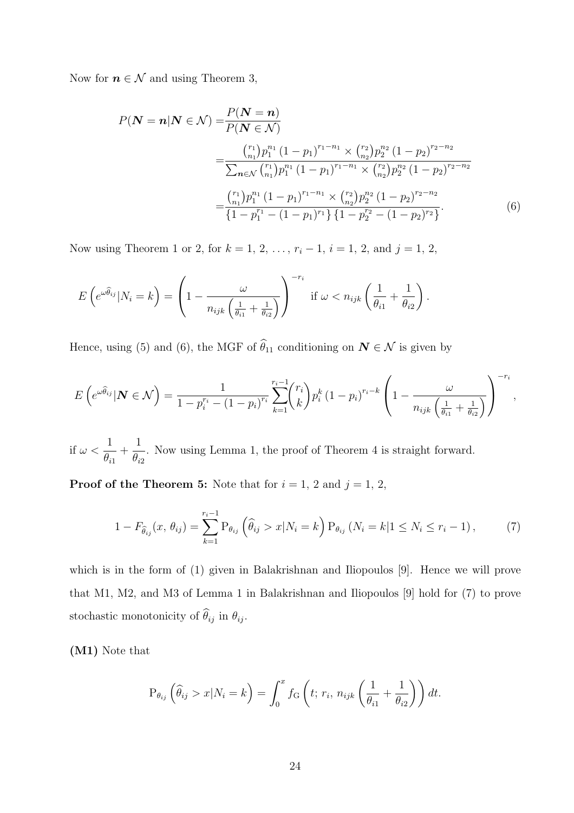Now for  $n \in \mathcal{N}$  and using Theorem 3,

$$
P(\mathbf{N} = n | \mathbf{N} \in \mathcal{N}) = \frac{P(\mathbf{N} = n)}{P(\mathbf{N} \in \mathcal{N})}
$$
  
= 
$$
\frac{{\binom{r_1}{n_1} p_1^{n_1} (1 - p_1)^{r_1 - n_1} \times {\binom{r_2}{n_2} p_2^{n_2} (1 - p_2)^{r_2 - n_2}}}}{\sum_{n \in \mathcal{N}} {\binom{r_1}{n_1} p_1^{n_1} (1 - p_1)^{r_1 - n_1} \times {\binom{r_2}{n_2} p_2^{n_2} (1 - p_2)^{r_2 - n_2}}}}{\binom{r_1}{n_1} p_1^{n_1} (1 - p_1)^{r_1 - n_1} \times {\binom{r_2}{n_2} p_2^{n_2} (1 - p_2)^{r_2 - n_2}}}}{\binom{r_1}{n_1} p_1^{n_1} (1 - p_1)^{r_1} \{1 - p_2^{r_2} - (1 - p_2)^{r_2}\}}.
$$
(6)

Now using Theorem 1 or 2, for  $k = 1, 2, ..., r_i - 1, i = 1, 2,$  and  $j = 1, 2$ ,

$$
E\left(e^{\omega\widehat{\theta}_{ij}}|N_i=k\right)=\left(1-\frac{\omega}{n_{ijk}\left(\frac{1}{\theta_{i1}}+\frac{1}{\theta_{i2}}\right)}\right)^{-r_i} \text{ if } \omega
$$

Hence, using (5) and (6), the MGF of  $\widehat{\theta}_{11}$  conditioning on  $\mathbf{N} \in \mathcal{N}$  is given by

$$
E\left(e^{\omega\widehat{\theta}_{ij}}|\mathbf{N}\in\mathcal{N}\right)=\frac{1}{1-p_i^{r_i}-\left(1-p_i\right)^{r_i}}\sum_{k=1}^{r_i-1} {r_i \choose k} p_i^k\left(1-p_i\right)^{r_i-k}\left(1-\frac{\omega}{n_{ijk}\left(\frac{1}{\theta_{i1}}+\frac{1}{\theta_{i2}}\right)}\right)^{-r_i},
$$

if  $\omega <$ 1  $\theta_{i1}$  $+$ 1  $\theta_{i2}$ . Now using Lemma 1, the proof of Theorem 4 is straight forward.

**Proof of the Theorem 5:** Note that for  $i = 1, 2$  and  $j = 1, 2$ ,

$$
1 - F_{\hat{\theta}_{ij}}(x, \theta_{ij}) = \sum_{k=1}^{r_i - 1} P_{\theta_{ij}} \left( \hat{\theta}_{ij} > x | N_i = k \right) P_{\theta_{ij}} \left( N_i = k | 1 \le N_i \le r_i - 1 \right), \tag{7}
$$

which is in the form of (1) given in Balakrishnan and Iliopoulos [9]. Hence we will prove that M1, M2, and M3 of Lemma 1 in Balakrishnan and Iliopoulos [9] hold for (7) to prove stochastic monotonicity of  $\widehat{\theta}_{ij}$  in  $\theta_{ij}$ .

(M1) Note that

$$
P_{\theta_{ij}}\left(\widehat{\theta}_{ij} > x | N_i = k\right) = \int_0^x f_{\rm G}\left(t; r_i, n_{ijk}\left(\frac{1}{\theta_{i1}} + \frac{1}{\theta_{i2}}\right)\right) dt.
$$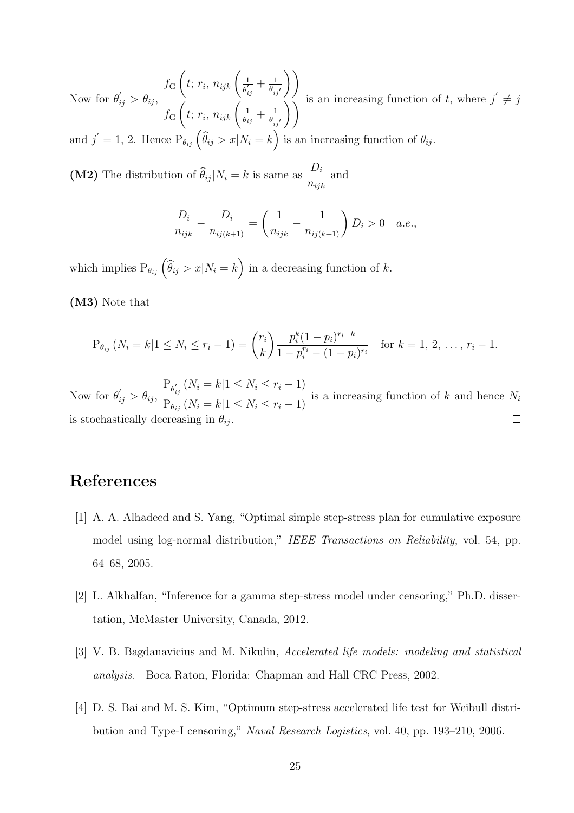Now for  $\theta'_{ij} > \theta_{ij}$ ,  $f_{\rm G}$  $\sqrt{ }$  $t; r_i, n_{ijk} \left( \frac{1}{a'} \right)$  $\overline{\theta^{'}_{i}}$  $\frac{1}{\gamma}\frac{1}{i_j}+\frac{1}{\theta_{ij}}$  $\theta_{ij}^{\phantom{\dag}}$  $\left\langle \right\rangle$  $f_{\rm G}$  $\overline{\sqrt{2}}$  $t; r_i, n_{ijk} \left( \frac{1}{\theta_i} \right)$  $\frac{1}{\theta_{ij}} + \frac{1}{\theta_{ij}}$  $\theta_{ij'}$  $\frac{f}{\sqrt{2}}$  is an increasing function of t, where  $j' \neq j$ and  $j' = 1, 2$ . Hence  $P_{\theta_{ij}}(\widehat{\theta}_{ij} > x | N_i = k)$  is an increasing function of  $\theta_{ij}$ .

(M2) The distribution of  $\theta_{ij} |N_i = k$  is same as  $D_i$  $n_{ijk}$ and

$$
\frac{D_i}{n_{ijk}} - \frac{D_i}{n_{ij(k+1)}} = \left(\frac{1}{n_{ijk}} - \frac{1}{n_{ij(k+1)}}\right) D_i > 0 \quad a.e.,
$$

which implies  $P_{\theta_{ij}}\left(\widehat{\theta}_{ij} > x | N_i = k\right)$  in a decreasing function of k.

(M3) Note that

$$
P_{\theta_{ij}}\left(N_i = k | 1 \le N_i \le r_i - 1\right) = {r_i \choose k} \frac{p_i^k (1-p_i)^{r_i-k}}{1-p_i^{r_i}-(1-p_i)^{r_i}} \quad \text{for } k = 1, 2, \ldots, r_i - 1.
$$

Now for  $\theta'_{ij} > \theta_{ij}$ ,  $P_{\theta_i'}$  $\sum_{i,j} (N_i = k | 1 \le N_i \le r_i - 1)$  $\overline{P_{\theta_{ij}}(N_i = k | 1 \le N_i \le r_i - 1)}$  is a increasing function of k and hence  $N_i$ is stochastically decreasing in  $\theta_{ij}$ 

### References

- [1] A. A. Alhadeed and S. Yang, "Optimal simple step-stress plan for cumulative exposure model using log-normal distribution," *IEEE Transactions on Reliability*, vol. 54, pp. 64–68, 2005.
- [2] L. Alkhalfan, "Inference for a gamma step-stress model under censoring," Ph.D. dissertation, McMaster University, Canada, 2012.
- [3] V. B. Bagdanavicius and M. Nikulin, *Accelerated life models: modeling and statistical analysis*. Boca Raton, Florida: Chapman and Hall CRC Press, 2002.
- [4] D. S. Bai and M. S. Kim, "Optimum step-stress accelerated life test for Weibull distribution and Type-I censoring," *Naval Research Logistics*, vol. 40, pp. 193–210, 2006.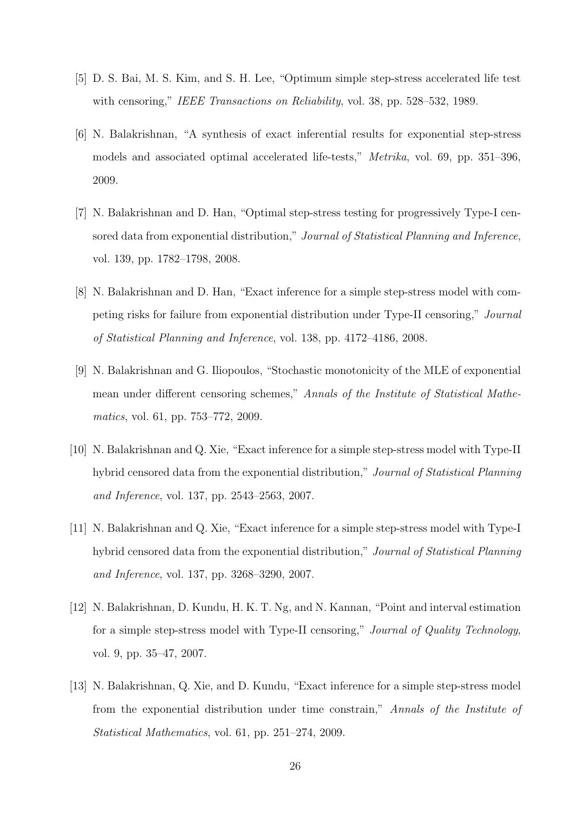- [5] D. S. Bai, M. S. Kim, and S. H. Lee, "Optimum simple step-stress accelerated life test with censoring," *IEEE Transactions on Reliability*, vol. 38, pp. 528–532, 1989.
- [6] N. Balakrishnan, "A synthesis of exact inferential results for exponential step-stress models and associated optimal accelerated life-tests," *Metrika*, vol. 69, pp. 351–396, 2009.
- [7] N. Balakrishnan and D. Han, "Optimal step-stress testing for progressively Type-I censored data from exponential distribution," *Journal of Statistical Planning and Inference*, vol. 139, pp. 1782–1798, 2008.
- [8] N. Balakrishnan and D. Han, "Exact inference for a simple step-stress model with competing risks for failure from exponential distribution under Type-II censoring," *Journal of Statistical Planning and Inference*, vol. 138, pp. 4172–4186, 2008.
- [9] N. Balakrishnan and G. Iliopoulos, "Stochastic monotonicity of the MLE of exponential mean under different censoring schemes," *Annals of the Institute of Statistical Mathematics*, vol. 61, pp. 753–772, 2009.
- [10] N. Balakrishnan and Q. Xie, "Exact inference for a simple step-stress model with Type-II hybrid censored data from the exponential distribution," *Journal of Statistical Planning and Inference*, vol. 137, pp. 2543–2563, 2007.
- [11] N. Balakrishnan and Q. Xie, "Exact inference for a simple step-stress model with Type-I hybrid censored data from the exponential distribution," *Journal of Statistical Planning and Inference*, vol. 137, pp. 3268–3290, 2007.
- [12] N. Balakrishnan, D. Kundu, H. K. T. Ng, and N. Kannan, "Point and interval estimation for a simple step-stress model with Type-II censoring," *Journal of Quality Technology*, vol. 9, pp. 35–47, 2007.
- [13] N. Balakrishnan, Q. Xie, and D. Kundu, "Exact inference for a simple step-stress model from the exponential distribution under time constrain," *Annals of the Institute of Statistical Mathematics*, vol. 61, pp. 251–274, 2009.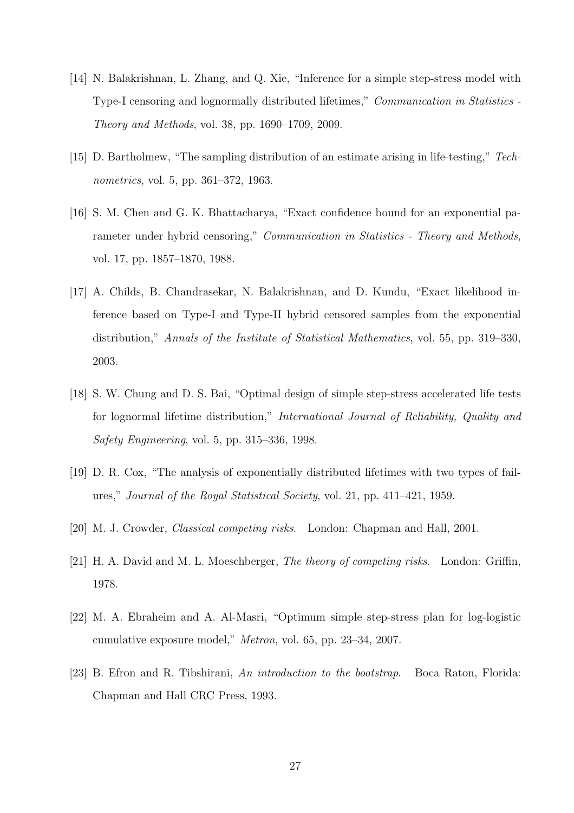- [14] N. Balakrishnan, L. Zhang, and Q. Xie, "Inference for a simple step-stress model with Type-I censoring and lognormally distributed lifetimes," *Communication in Statistics - Theory and Methods*, vol. 38, pp. 1690–1709, 2009.
- [15] D. Bartholmew, "The sampling distribution of an estimate arising in life-testing," *Technometrics*, vol. 5, pp. 361–372, 1963.
- [16] S. M. Chen and G. K. Bhattacharya, "Exact confidence bound for an exponential parameter under hybrid censoring," *Communication in Statistics - Theory and Methods*, vol. 17, pp. 1857–1870, 1988.
- [17] A. Childs, B. Chandrasekar, N. Balakrishnan, and D. Kundu, "Exact likelihood inference based on Type-I and Type-II hybrid censored samples from the exponential distribution," *Annals of the Institute of Statistical Mathematics*, vol. 55, pp. 319–330, 2003.
- [18] S. W. Chung and D. S. Bai, "Optimal design of simple step-stress accelerated life tests for lognormal lifetime distribution," *International Journal of Reliability, Quality and Safety Engineering*, vol. 5, pp. 315–336, 1998.
- [19] D. R. Cox, "The analysis of exponentially distributed lifetimes with two types of failures," *Journal of the Royal Statistical Society*, vol. 21, pp. 411–421, 1959.
- [20] M. J. Crowder, *Classical competing risks*. London: Chapman and Hall, 2001.
- [21] H. A. David and M. L. Moeschberger, *The theory of competing risks*. London: Griffin, 1978.
- [22] M. A. Ebraheim and A. Al-Masri, "Optimum simple step-stress plan for log-logistic cumulative exposure model," *Metron*, vol. 65, pp. 23–34, 2007.
- [23] B. Efron and R. Tibshirani, *An introduction to the bootstrap*. Boca Raton, Florida: Chapman and Hall CRC Press, 1993.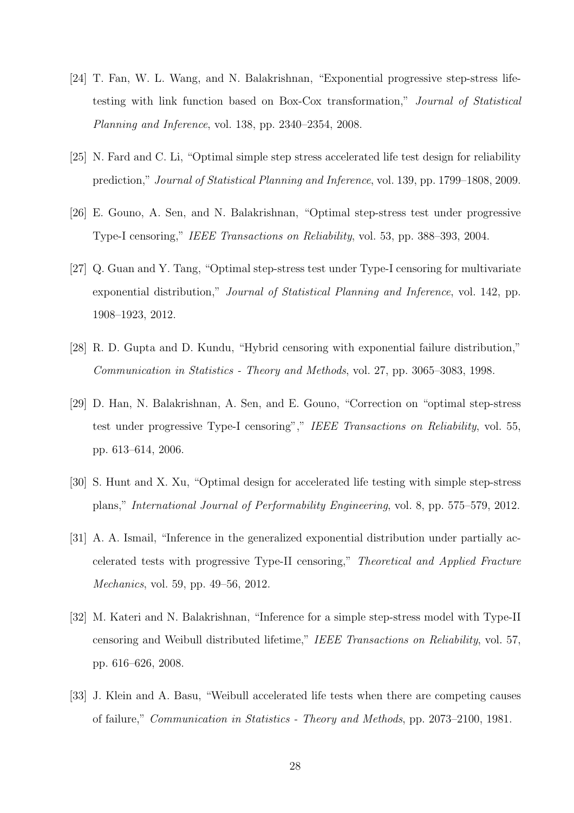- [24] T. Fan, W. L. Wang, and N. Balakrishnan, "Exponential progressive step-stress lifetesting with link function based on Box-Cox transformation," *Journal of Statistical Planning and Inference*, vol. 138, pp. 2340–2354, 2008.
- [25] N. Fard and C. Li, "Optimal simple step stress accelerated life test design for reliability prediction," *Journal of Statistical Planning and Inference*, vol. 139, pp. 1799–1808, 2009.
- [26] E. Gouno, A. Sen, and N. Balakrishnan, "Optimal step-stress test under progressive Type-I censoring," *IEEE Transactions on Reliability*, vol. 53, pp. 388–393, 2004.
- [27] Q. Guan and Y. Tang, "Optimal step-stress test under Type-I censoring for multivariate exponential distribution," *Journal of Statistical Planning and Inference*, vol. 142, pp. 1908–1923, 2012.
- [28] R. D. Gupta and D. Kundu, "Hybrid censoring with exponential failure distribution," *Communication in Statistics - Theory and Methods*, vol. 27, pp. 3065–3083, 1998.
- [29] D. Han, N. Balakrishnan, A. Sen, and E. Gouno, "Correction on "optimal step-stress test under progressive Type-I censoring"," *IEEE Transactions on Reliability*, vol. 55, pp. 613–614, 2006.
- [30] S. Hunt and X. Xu, "Optimal design for accelerated life testing with simple step-stress plans," *International Journal of Performability Engineering*, vol. 8, pp. 575–579, 2012.
- [31] A. A. Ismail, "Inference in the generalized exponential distribution under partially accelerated tests with progressive Type-II censoring," *Theoretical and Applied Fracture Mechanics*, vol. 59, pp. 49–56, 2012.
- [32] M. Kateri and N. Balakrishnan, "Inference for a simple step-stress model with Type-II censoring and Weibull distributed lifetime," *IEEE Transactions on Reliability*, vol. 57, pp. 616–626, 2008.
- [33] J. Klein and A. Basu, "Weibull accelerated life tests when there are competing causes of failure," *Communication in Statistics - Theory and Methods*, pp. 2073–2100, 1981.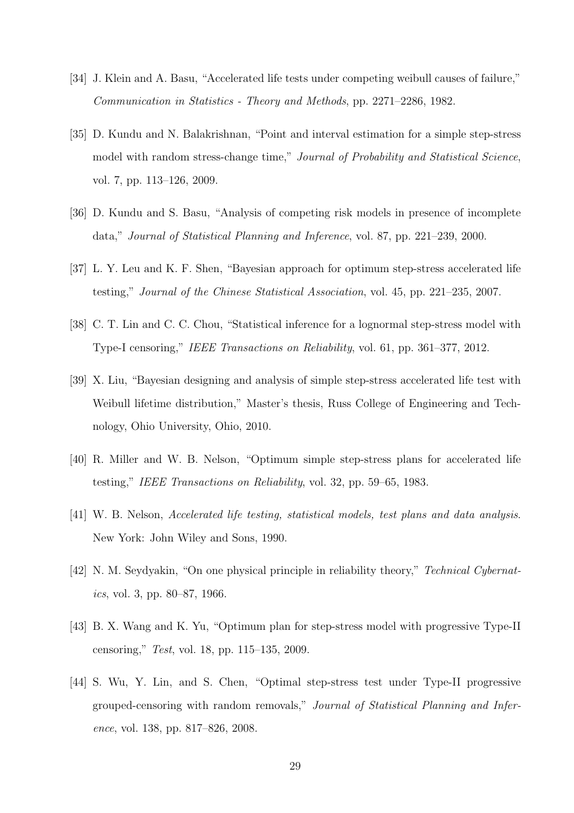- [34] J. Klein and A. Basu, "Accelerated life tests under competing weibull causes of failure," *Communication in Statistics - Theory and Methods*, pp. 2271–2286, 1982.
- [35] D. Kundu and N. Balakrishnan, "Point and interval estimation for a simple step-stress model with random stress-change time," *Journal of Probability and Statistical Science*, vol. 7, pp. 113–126, 2009.
- [36] D. Kundu and S. Basu, "Analysis of competing risk models in presence of incomplete data," *Journal of Statistical Planning and Inference*, vol. 87, pp. 221–239, 2000.
- [37] L. Y. Leu and K. F. Shen, "Bayesian approach for optimum step-stress accelerated life testing," *Journal of the Chinese Statistical Association*, vol. 45, pp. 221–235, 2007.
- [38] C. T. Lin and C. C. Chou, "Statistical inference for a lognormal step-stress model with Type-I censoring," *IEEE Transactions on Reliability*, vol. 61, pp. 361–377, 2012.
- [39] X. Liu, "Bayesian designing and analysis of simple step-stress accelerated life test with Weibull lifetime distribution," Master's thesis, Russ College of Engineering and Technology, Ohio University, Ohio, 2010.
- [40] R. Miller and W. B. Nelson, "Optimum simple step-stress plans for accelerated life testing," *IEEE Transactions on Reliability*, vol. 32, pp. 59–65, 1983.
- [41] W. B. Nelson, *Accelerated life testing, statistical models, test plans and data analysis*. New York: John Wiley and Sons, 1990.
- [42] N. M. Seydyakin, "On one physical principle in reliability theory," *Technical Cybernatics*, vol. 3, pp. 80–87, 1966.
- [43] B. X. Wang and K. Yu, "Optimum plan for step-stress model with progressive Type-II censoring," *Test*, vol. 18, pp. 115–135, 2009.
- [44] S. Wu, Y. Lin, and S. Chen, "Optimal step-stress test under Type-II progressive grouped-censoring with random removals," *Journal of Statistical Planning and Inference*, vol. 138, pp. 817–826, 2008.